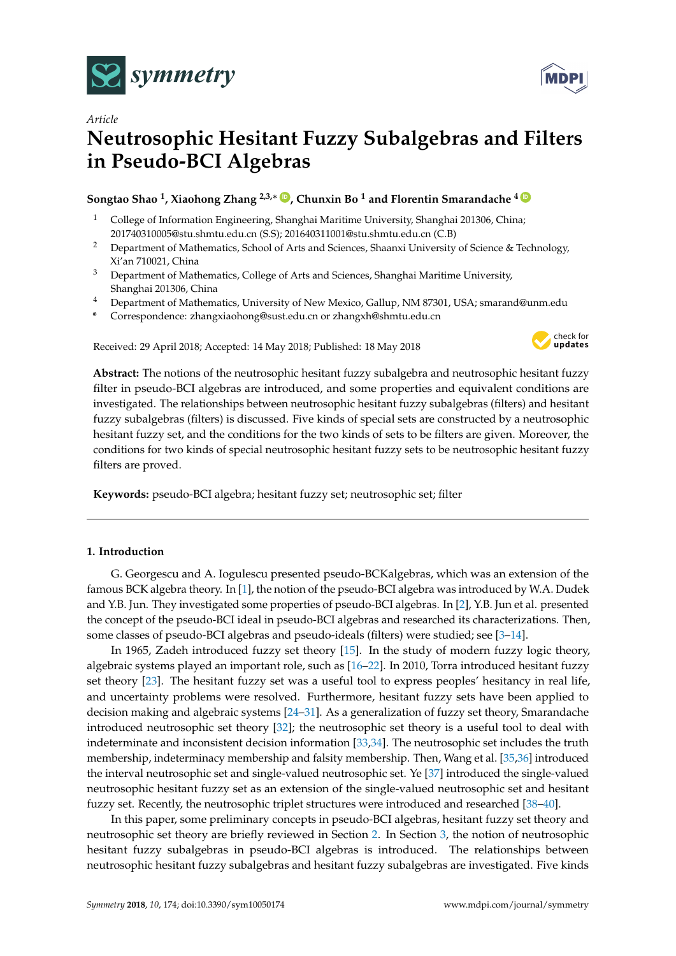

*Article*



# **Neutrosophic Hesitant Fuzzy Subalgebras and Filters in Pseudo-BCI Algebras**

## **Songtao Shao <sup>1</sup> , Xiaohong Zhang 2,3,**<sup>∗</sup> **[ID](https://orcid.org/0000-0003-2320-0884) , Chunxin Bo <sup>1</sup> and Florentin Smarandache <sup>4</sup> [ID](https://orcid.org/0000-0002-5560-5926)**

- <sup>1</sup> College of Information Engineering, Shanghai Maritime University, Shanghai 201306, China; 201740310005@stu.shmtu.edu.cn (S.S); 201640311001@stu.shmtu.edu.cn (C.B)
- <sup>2</sup> Department of Mathematics, School of Arts and Sciences, Shaanxi University of Science & Technology, Xi'an 710021, China
- <sup>3</sup> Department of Mathematics, College of Arts and Sciences, Shanghai Maritime University, Shanghai 201306, China
- <sup>4</sup> Department of Mathematics, University of New Mexico, Gallup, NM 87301, USA; smarand@unm.edu
- **\*** Correspondence: zhangxiaohong@sust.edu.cn or zhangxh@shmtu.edu.cn

Received: 29 April 2018; Accepted: 14 May 2018; Published: 18 May 2018



**MDPI** 

**Abstract:** The notions of the neutrosophic hesitant fuzzy subalgebra and neutrosophic hesitant fuzzy filter in pseudo-BCI algebras are introduced, and some properties and equivalent conditions are investigated. The relationships between neutrosophic hesitant fuzzy subalgebras (filters) and hesitant fuzzy subalgebras (filters) is discussed. Five kinds of special sets are constructed by a neutrosophic hesitant fuzzy set, and the conditions for the two kinds of sets to be filters are given. Moreover, the conditions for two kinds of special neutrosophic hesitant fuzzy sets to be neutrosophic hesitant fuzzy filters are proved.

**Keywords:** pseudo-BCI algebra; hesitant fuzzy set; neutrosophic set; filter

## **1. Introduction**

G. Georgescu and A. Iogulescu presented pseudo-BCKalgebras, which was an extension of the famous BCK algebra theory. In [\[1\]](#page-17-0), the notion of the pseudo-BCI algebra was introduced by W.A. Dudek and Y.B. Jun. They investigated some properties of pseudo-BCI algebras. In [\[2\]](#page-17-1), Y.B. Jun et al. presented the concept of the pseudo-BCI ideal in pseudo-BCI algebras and researched its characterizations. Then, some classes of pseudo-BCI algebras and pseudo-ideals (filters) were studied; see [\[3–](#page-17-2)[14\]](#page-17-3).

In 1965, Zadeh introduced fuzzy set theory [\[15\]](#page-17-4). In the study of modern fuzzy logic theory, algebraic systems played an important role, such as [\[16](#page-17-5)[–22\]](#page-17-6). In 2010, Torra introduced hesitant fuzzy set theory [\[23\]](#page-17-7). The hesitant fuzzy set was a useful tool to express peoples' hesitancy in real life, and uncertainty problems were resolved. Furthermore, hesitant fuzzy sets have been applied to decision making and algebraic systems [\[24](#page-17-8)[–31\]](#page-18-0). As a generalization of fuzzy set theory, Smarandache introduced neutrosophic set theory [\[32\]](#page-18-1); the neutrosophic set theory is a useful tool to deal with indeterminate and inconsistent decision information [\[33,](#page-18-2)[34\]](#page-18-3). The neutrosophic set includes the truth membership, indeterminacy membership and falsity membership. Then, Wang et al. [\[35](#page-18-4)[,36\]](#page-18-5) introduced the interval neutrosophic set and single-valued neutrosophic set. Ye [\[37\]](#page-18-6) introduced the single-valued neutrosophic hesitant fuzzy set as an extension of the single-valued neutrosophic set and hesitant fuzzy set. Recently, the neutrosophic triplet structures were introduced and researched [\[38–](#page-18-7)[40\]](#page-18-8).

In this paper, some preliminary concepts in pseudo-BCI algebras, hesitant fuzzy set theory and neutrosophic set theory are briefly reviewed in Section [2.](#page-1-0) In Section [3,](#page-3-0) the notion of neutrosophic hesitant fuzzy subalgebras in pseudo-BCI algebras is introduced. The relationships between neutrosophic hesitant fuzzy subalgebras and hesitant fuzzy subalgebras are investigated. Five kinds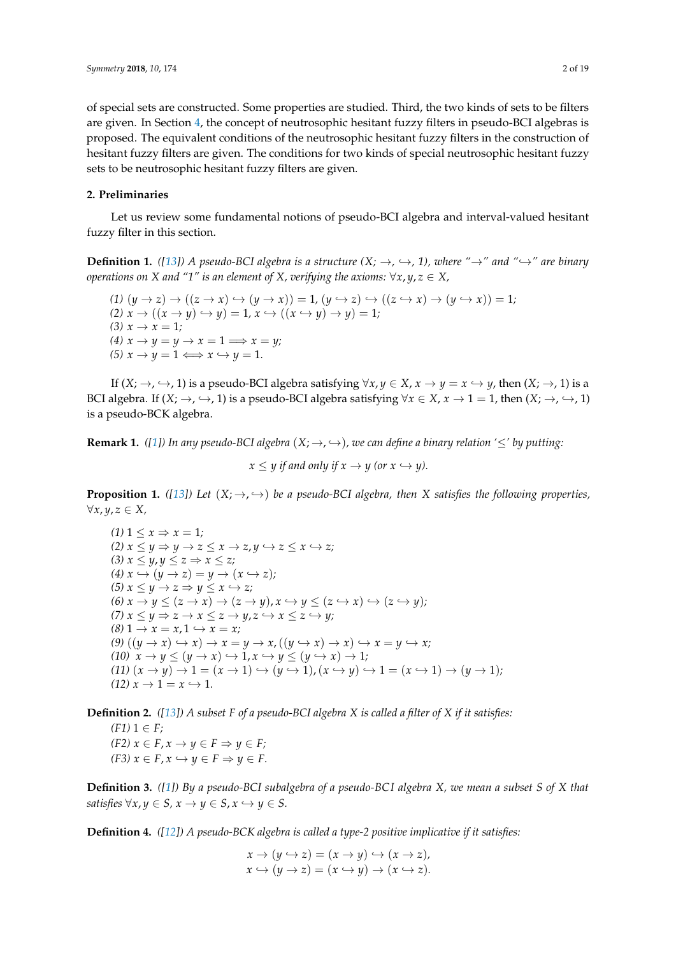of special sets are constructed. Some properties are studied. Third, the two kinds of sets to be filters are given. In Section [4,](#page-8-0) the concept of neutrosophic hesitant fuzzy filters in pseudo-BCI algebras is proposed. The equivalent conditions of the neutrosophic hesitant fuzzy filters in the construction of hesitant fuzzy filters are given. The conditions for two kinds of special neutrosophic hesitant fuzzy sets to be neutrosophic hesitant fuzzy filters are given.

## <span id="page-1-0"></span>**2. Preliminaries**

Let us review some fundamental notions of pseudo-BCI algebra and interval-valued hesitant fuzzy filter in this section.

**Definition 1.** ([\[13\]](#page-17-9)) A pseudo-BCI algebra is a structure  $(X; \rightarrow, \hookrightarrow, 1)$ , where " $\rightarrow$ " and " $\hookrightarrow$ " are binary *operations on X and "1" is an element of X, verifying the axioms:*  $\forall x, y, z \in X$ ,

 $(1)$   $(y \rightarrow z) \rightarrow ((z \rightarrow x) \rightarrow (y \rightarrow x)) = 1$ ,  $(y \rightarrow z) \rightarrow ((z \rightarrow x) \rightarrow (y \rightarrow x)) = 1$ ;  $(2)$   $x \rightarrow ((x \rightarrow y) \rightarrow y) = 1, x \rightarrow ((x \rightarrow y) \rightarrow y) = 1;$  $(3)$   $x \to x = 1$ ;  $(4)$   $x \rightarrow y = y \rightarrow x = 1 \Longrightarrow x = y;$  $(5)$   $x \rightarrow y = 1 \Longleftrightarrow x \hookrightarrow y = 1.$ 

If  $(X; \rightarrow, \rightarrow, 1)$  is a pseudo-BCI algebra satisfying  $\forall x, y \in X$ ,  $x \rightarrow y = x \leftrightarrow y$ , then  $(X; \rightarrow, 1)$  is a BCI algebra. If  $(X; \to, \hookrightarrow, 1)$  is a pseudo-BCI algebra satisfying  $\forall x \in X$ ,  $x \to 1 = 1$ , then  $(X; \to, \hookrightarrow, 1)$ is a pseudo-BCK algebra.

**Remark 1.** *([\[1\]](#page-17-0))* In any pseudo-BCI algebra  $(X; \rightarrow, \rightarrow)$ , we can define a binary relation ' $\leq'$  by putting:

 $x \leq y$  *if and only if*  $x \to y$  (or  $x \hookrightarrow y$ ).

**Proposition 1.** *(*[\[13\]](#page-17-9)*)* Let  $(X; \rightarrow, \rightarrow)$  be a pseudo-BCI algebra, then X satisfies the following properties, ∀*x*, *y*, *z* ∈ *X,*

 $(1)$  1  $\leq x \Rightarrow x = 1$ ;  $(2)$   $x \le y \Rightarrow y \rightarrow z \le x \rightarrow z$ ,  $y \leftrightarrow z \le x \leftrightarrow z$ ;  $(3)$   $x \leq y, y \leq z \Rightarrow x \leq z$ ;  $(4)$   $x \leftrightarrow (y \rightarrow z) = y \rightarrow (x \leftrightarrow z);$  $(5)$   $x \leq y \rightarrow z \Rightarrow y \leq x \hookrightarrow z;$  $(6)$   $x \rightarrow y \leq (z \rightarrow x) \rightarrow (z \rightarrow y)$ ,  $x \rightarrow y \leq (z \rightarrow x) \rightarrow (z \rightarrow y)$ ; *(7)*  $x \le y \Rightarrow z \rightarrow x \le z \rightarrow y, z \hookrightarrow x \le z \hookrightarrow y;$  $(8)$  1  $\rightarrow$   $x = x, 1 \leftrightarrow x = x;$  $(9) ((y \rightarrow x) \rightarrow x) \rightarrow x = y \rightarrow x, ((y \rightarrow x) \rightarrow x) \rightarrow x = y \rightarrow x;$  $(10)$   $x \rightarrow y \leq (y \rightarrow x) \hookrightarrow 1, x \hookrightarrow y \leq (y \rightarrow x) \rightarrow 1;$  $(11)$   $(x \rightarrow y) \rightarrow 1 = (x \rightarrow 1) \rightarrow (y \rightarrow 1)$ ,  $(x \rightarrow y) \rightarrow 1 = (x \rightarrow 1) \rightarrow (y \rightarrow 1)$ ;  $(12)$   $x \rightarrow 1 = x \rightarrow 1$ .

**Definition 2.** *([\[13\]](#page-17-9)) A subset F of a pseudo-BCI algebra X is called a filter of X if it satisfies:*

 $(F1)$  1 ∈  $F$ ; *(F2)*  $x \in F$ ,  $x \to y \in F$  ⇒  $y \in F$ ;  $(F3)$   $x \in F$ ,  $x \hookrightarrow y \in F \Rightarrow y \in F$ .

**Definition 3.** *([\[1\]](#page-17-0)) By a pseudo-BCI subalgebra of a pseudo-BC I algebra X, we mean a subset S of X that satisfies*  $\forall x, y \in S, x \rightarrow y \in S, x \hookrightarrow y \in S$ .

**Definition 4.** *([\[12\]](#page-17-10)) A pseudo-BCK algebra is called a type-2 positive implicative if it satisfies:*

 $x \rightarrow (y \leftrightarrow z) = (x \rightarrow y) \leftrightarrow (x \rightarrow z)$  $x \leftrightarrow (y \rightarrow z) = (x \leftrightarrow y) \rightarrow (x \leftrightarrow z)$ .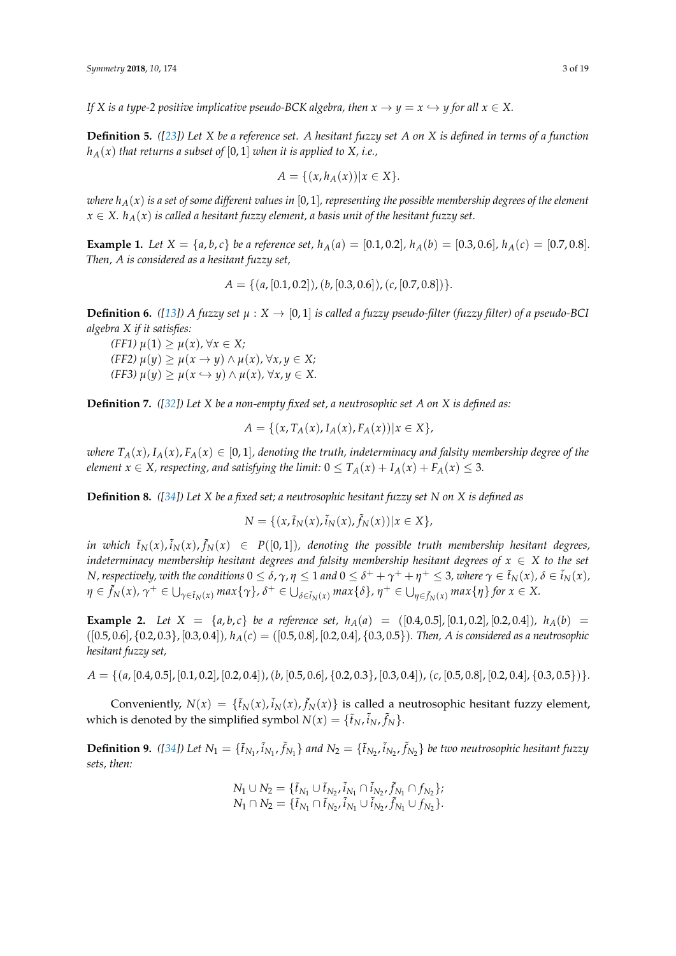*If X* is a type-2 positive implicative pseudo-BCK algebra, then  $x \to y = x \hookrightarrow y$  for all  $x \in X$ .

**Definition 5.** *([\[23\]](#page-17-7)) Let X be a reference set. A hesitant fuzzy set A on X is defined in terms of a function*  $h_A(x)$  *that returns a subset of* [0, 1] *when it is applied to X, i.e.,* 

$$
A = \{(x, h_A(x)) | x \in X\}.
$$

*where*  $h_A(x)$  *is a set of some different values in* [0, 1], *representing the possible membership degrees of the element*  $x \in X$ .  $h_A(x)$  *is called a hesitant fuzzy element, a basis unit of the hesitant fuzzy set.* 

**Example 1.** Let  $X = \{a, b, c\}$  be a reference set,  $h_A(a) = [0.1, 0.2], h_A(b) = [0.3, 0.6], h_A(c) = [0.7, 0.8].$ *Then, A is considered as a hesitant fuzzy set,*

$$
A = \{ (a, [0.1, 0.2]), (b, [0.3, 0.6]), (c, [0.7, 0.8]) \}.
$$

**Definition 6.** *([\[13\]](#page-17-9))* A fuzzy set  $\mu$  :  $X \to [0, 1]$  is called a fuzzy pseudo-filter (fuzzy filter) of a pseudo-BCI *algebra X if it satisfies:*

*(FF1) µ*(1) ≥ *µ*(*x*)*,* ∀*x* ∈ *X;*  $(\text{FF2}) \mu(y) > \mu(x \to y) \land \mu(x), \forall x, y \in X;$  $(\text{FF3}) \mu(y) \geq \mu(x \hookrightarrow y) \wedge \mu(x), \forall x, y \in X.$ 

**Definition 7.** *([\[32\]](#page-18-1)) Let X be a non-empty fixed set, a neutrosophic set A on X is defined as:*

$$
A = \{ (x, T_A(x), I_A(x), F_A(x)) | x \in X \},
$$

*where*  $T_A(x)$ ,  $I_A(x)$ ,  $F_A(x) \in [0,1]$ , denoting the truth, indeterminacy and falsity membership degree of the *element*  $x \in X$ *, respecting, and satisfying the limit:*  $0 \leq T_A(x) + I_A(x) + F_A(x) \leq 3$ .

**Definition 8.** *([\[34\]](#page-18-3)) Let X be a fixed set; a neutrosophic hesitant fuzzy set N on X is defined as*

$$
N = \{ (x, \tilde{t}_N(x), \tilde{i}_N(x), \tilde{f}_N(x)) | x \in X \},
$$

in which  $\tilde{t}_N(x)$ ,  $\tilde{i}_N(x)$ ,  $\tilde{f}_N(x)$   $\in$  P([0,1]), denoting the possible truth membership hesitant degrees, *indeterminacy membership hesitant degrees and falsity membership hesitant degrees of*  $x \in X$  *to the set* N, respectively, with the conditions  $0\leq\delta$ ,  $\gamma$ ,  $\eta\leq1$  and  $0\leq\delta^++\gamma^++\eta^+\leq3$ , where  $\gamma\in\tilde{t}_N(x)$ ,  $\delta\in\tilde{i}_N(x)$ ,  $\eta\in \tilde{f}_N(x)$ ,  $\gamma^+\in \bigcup_{\gamma\in \tilde{t}_N(x)}\max\{\gamma\}$ ,  $\delta^+\in \bigcup_{\delta\in \tilde{t}_N(x)}\max\{\delta\}$ ,  $\eta^+\in \bigcup_{\eta\in \tilde{f}_N(x)}\max\{\eta\}$  for  $x\in X$ .

**Example 2.** Let  $X = \{a, b, c\}$  be a reference set,  $h_A(a) = \{(0.4, 0.5], [0.1, 0.2], [0.2, 0.4]\}$ *,*  $h_A(b) =$ ([0.5, 0.6], {0.2, 0.3}, [0.3, 0.4])*, hA*(*c*) = ([0.5, 0.8], [0.2, 0.4], {0.3, 0.5})*. Then, A is considered as a neutrosophic hesitant fuzzy set,*

*A* = {(*a*, [0.4, 0.5], [0.1, 0.2], [0.2, 0.4]),(*b*, [0.5, 0.6], {0.2, 0.3}, [0.3, 0.4]), (*c*, [0.5, 0.8], [0.2, 0.4], {0.3, 0.5})}*.*

Conveniently,  $N(x) = \{\tilde{t}_N(x), \tilde{i}_N(x), \tilde{f}_N(x)\}$  is called a neutrosophic hesitant fuzzy element, which is denoted by the simplified symbol  $N(x) = \{\tilde{t}_N, \tilde{i}_N, \tilde{f}_N\}.$ 

**Definition 9.** ([\[34\]](#page-18-3)) Let  $N_1 = \{\tilde{t}_{N_1}, \tilde{t}_{N_1}, \tilde{f}_{N_1}\}$  and  $N_2 = \{\tilde{t}_{N_2}, \tilde{t}_{N_2}, \tilde{f}_{N_2}\}$  be two neutrosophic hesitant fuzzy *sets, then:*

$$
N_1 \cup N_2 = \{ \tilde{t}_{N_1} \cup \tilde{t}_{N_2}, \tilde{i}_{N_1} \cap \tilde{i}_{N_2}, \tilde{f}_{N_1} \cap f_{N_2} \};
$$
  

$$
N_1 \cap N_2 = \{ \tilde{t}_{N_1} \cap \tilde{t}_{N_2}, \tilde{i}_{N_1} \cup \tilde{i}_{N_2}, \tilde{f}_{N_1} \cup f_{N_2} \}.
$$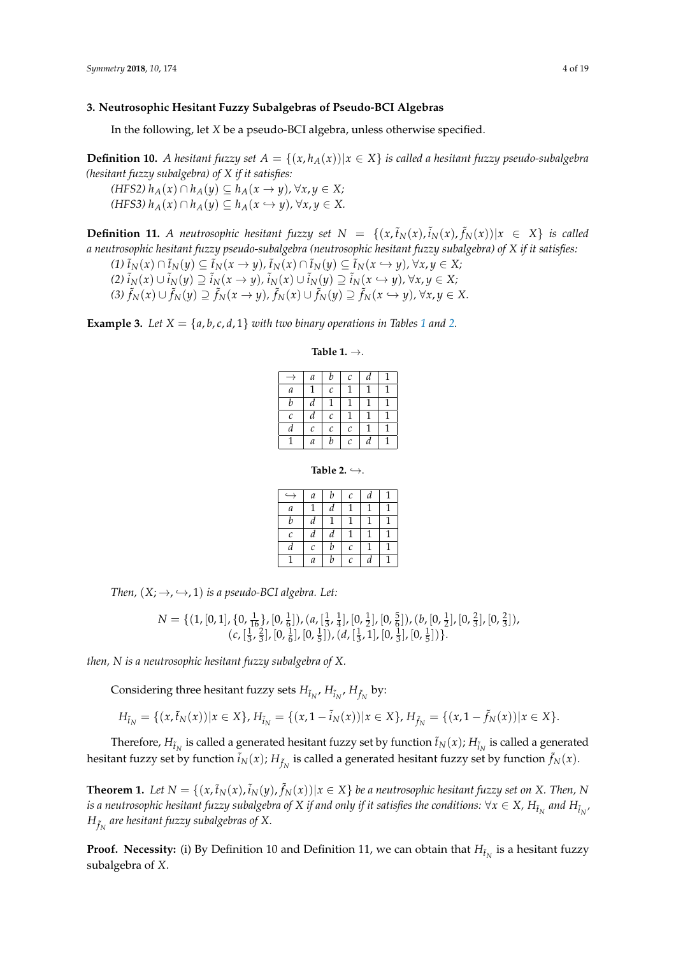## <span id="page-3-0"></span>**3. Neutrosophic Hesitant Fuzzy Subalgebras of Pseudo-BCI Algebras**

In the following, let *X* be a pseudo-BCI algebra, unless otherwise specified.

**Definition 10.** *A hesitant fuzzy set*  $A = \{(x, h_A(x)) | x \in X\}$  *is called a hesitant fuzzy pseudo-subalgebra (hesitant fuzzy subalgebra) of X if it satisfies:*

*(HFS2) hA*(*x*) ∩ *hA*(*y*) ⊆ *hA*(*x* → *y*)*,* ∀*x*, *y* ∈ *X; (HFS3)*  $h_A(x) ∩ h_A(y) ⊆ h_A(x \leftrightarrow y)$ , ∀*x*, *y* ∈ *X*.

**Definition 11.** A neutrosophic hesitant fuzzy set  $N = \{(x, \tilde{t}_N(x), \tilde{t}_N(x), \tilde{f}_N(x)) | x \in X\}$  is called *a neutrosophic hesitant fuzzy pseudo-subalgebra (neutrosophic hesitant fuzzy subalgebra) of X if it satisfies:*

(1)  $\tilde{t}_N(x) \cap \tilde{t}_N(y) \subseteq \tilde{t}_N(x \to y)$ ,  $\tilde{t}_N(x) \cap \tilde{t}_N(y) \subseteq \tilde{t}_N(x \hookrightarrow y)$ ,  $\forall x, y \in X$ ; (2)  $\tilde{i}_N(x) \cup \tilde{i}_N(y) \supseteq \tilde{i}_N(x \to y)$ ,  $\tilde{i}_N(x) \cup \tilde{i}_N(y) \supseteq \tilde{i}_N(x \hookrightarrow y)$ ,  $\forall x, y \in X$ ; (3)  $\tilde{f}_N(x) \cup \tilde{f}_N(y) \supseteq \tilde{f}_N(x \to y)$ ,  $\tilde{f}_N(x) \cup \tilde{f}_N(y) \supseteq \tilde{f}_N(x \hookrightarrow y)$ ,  $\forall x, y \in X$ .

<span id="page-3-1"></span>**Example 3.** Let  $X = \{a, b, c, d, 1\}$  $X = \{a, b, c, d, 1\}$  $X = \{a, b, c, d, 1\}$  with two binary operations in Tables 1 and [2.](#page-3-2)

#### **Table 1.** →.

|   | a | b                     | С                       | d |  |
|---|---|-----------------------|-------------------------|---|--|
| a |   | $\mathcal{C}_{0}^{2}$ |                         |   |  |
| b | d |                       |                         |   |  |
| C | d | C                     |                         | 1 |  |
| d | С | C                     | $\mathcal{C}_{0}^{(n)}$ |   |  |
|   | а | b                     | C                       | a |  |

**Table 2.**  $\hookrightarrow$ .

| د                 | $\boldsymbol{a}$ | b | С            | d | 1 |
|-------------------|------------------|---|--------------|---|---|
| $\boldsymbol{a}$  | 1                | d |              |   |   |
| b                 | d                |   | 1            |   |   |
| $\mathcal{C}_{0}$ | d                | d |              |   |   |
| d                 | $\mathcal C$     | b | $\mathcal C$ |   |   |
|                   | а                | b | С            | d |   |

<span id="page-3-2"></span>*Then,*  $(X; \rightarrow, \hookrightarrow, 1)$  *is a pseudo-BCI algebra. Let:* 

$$
N = \{ (1, [0, 1], \{0, \frac{1}{16}\}, [0, \frac{1}{6}]), (a, [\frac{1}{3}, \frac{1}{4}], [0, \frac{1}{2}], [0, \frac{5}{6}]), (b, [0, \frac{1}{2}], [0, \frac{2}{3}], [0, \frac{2}{3}]), (c, [\frac{1}{3}, \frac{2}{3}], [0, \frac{1}{6}], [0, \frac{1}{3}]), (d, [\frac{1}{3}, 1], [0, \frac{1}{3}], [0, \frac{1}{5}]) \}.
$$

*then, N is a neutrosophic hesitant fuzzy subalgebra of X.*

Considering three hesitant fuzzy sets  $H_{\tilde{t}_N}$ ,  $H_{\tilde{t}_N}$ ,  $H_{\tilde{f}_N}$  by:

$$
H_{\tilde{t}_N} = \{(x, \tilde{t}_N(x)) | x \in X\}, H_{\tilde{t}_N} = \{(x, 1 - \tilde{t}_N(x)) | x \in X\}, H_{\tilde{f}_N} = \{(x, 1 - \tilde{f}_N(x)) | x \in X\}.
$$

Therefore,  $H_{\tilde{t}_N}$  is called a generated hesitant fuzzy set by function  $\tilde{t}_N(x)$ ;  $H_{\tilde{t}_N}$  is called a generated hesitant fuzzy set by function  $\tilde{i}_N(x)$ ;  $H_{\tilde{f}_N}$  is called a generated hesitant fuzzy set by function  $\tilde{f}_N(x)$ .

**Theorem 1.** Let  $N = \{(x,\tilde{t}_N(x),\tilde{t}_N(y),\tilde{f}_N(x)) | x \in X\}$  be a neutrosophic hesitant fuzzy set on X. Then, N is a neutrosophic hesitant fuzzy subalgebra of  $X$  if and only if it satisfies the conditions:  $\forall x\in X$ ,  $H_{\tilde t_N}$  and  $H_{\tilde t_N}$ ,  $H_{\tilde{f}_N}$  are hesitant fuzzy subalgebras of X.

**Proof. Necessity:** (i) By Definition 10 and Definition 11, we can obtain that  $H_{\tilde{t}_N}$  is a hesitant fuzzy subalgebra of *X*.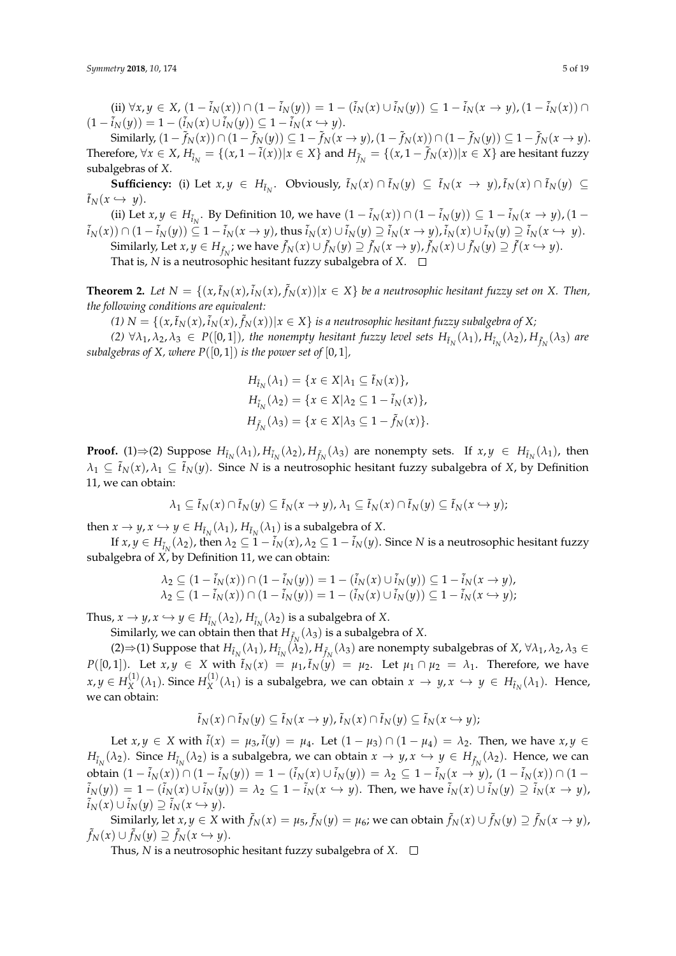(ii)  $\forall x, y \in X$ ,  $(1 - \tilde{i}_N(x)) \cap (1 - \tilde{i}_N(y)) = 1 - (\tilde{i}_N(x) \cup \tilde{i}_N(y)) \subseteq 1 - \tilde{i}_N(x \to y)$ ,  $(1 - \tilde{i}_N(x)) \cap$  $(1 - \tilde{i}_N(y)) = 1 - (\tilde{i}_N(x) \cup \tilde{i}_N(y)) \subseteq 1 - \tilde{i}_N(x \hookrightarrow y).$ 

Similarly,  $(1-\tilde{f}_N(x)) \cap (1-\tilde{f}_N(y)) \subseteq 1-\tilde{f}_N(x \to y)$ ,  $(1-\tilde{f}_N(x)) \cap (1-\tilde{f}_N(y)) \subseteq 1-\tilde{f}_N(x \to y)$ . Therefore,  $\forall x \in X$ ,  $H_{\tilde{i}_N} = \{(x, 1 - \tilde{i}(x)) | x \in X\}$  and  $H_{\tilde{j}_N} = \{(x, 1 - \tilde{j}_N(x)) | x \in X\}$  are hesitant fuzzy subalgebras of *X*.

**Sufficiency:** (i) Let  $x, y \in H_{\tilde{t}_N}$ . Obviously,  $\tilde{t}_N(x) \cap \tilde{t}_N(y) \subseteq \tilde{t}_N(x \to y)$ ,  $\tilde{t}_N(x) \cap \tilde{t}_N(y) \subseteq$  $\tilde{t}_N(x \hookrightarrow y)$ .

(ii) Let *x*, *y* ∈ *H*<sub> $i_N$ </sub>. By Definition 10, we have  $(1 - i_N(x)) ∩ (1 - i_N(y)) ⊆ 1 - i_N(x → y)$ ,  $(1 - i_N(x))$  $\tilde{i}_N(x))\cap (1-\tilde{i}_N(y))\subseteq 1-\tilde{i}_N(x\rightarrow y)$ , thus  $\tilde{i}_N(x)\cup \tilde{i}_N(y)\supseteq \tilde{i}_N(x\rightarrow y)$ ,  $\tilde{i}_N(x)\cup \tilde{i}_N(y)\supseteq \tilde{i}_N(x\hookrightarrow y)$ .

Similarly, Let  $x, y \in H_{\tilde{f}_N}$ ; we have  $\tilde{f}_N(x) \cup \tilde{f}_N(y) \supseteq \tilde{f}_N(x \to y)$ ,  $\tilde{f}_N(x) \cup \tilde{f}_N(y) \supseteq \tilde{f}(x \hookrightarrow y)$ . That is,  $N$  is a neutrosophic hesitant fuzzy subalgebra of  $X$ .  $\square$ 

**Theorem 2.** Let  $N = \{(x, \tilde{t}_N(x), \tilde{t}_N(x)) | x \in X \}$  be a neutrosophic hesitant fuzzy set on X. Then, *the following conditions are equivalent:*

(1)  $N = \{(x, \tilde{t}_N(x), \tilde{i}_N(x), \tilde{f}_N(x)) | x \in X\}$  is a neutrosophic hesitant fuzzy subalgebra of X;

(2)  $\forall \lambda_1, \lambda_2, \lambda_3 \in P([0,1])$ , the nonempty hesitant fuzzy level sets  $H_{\tilde{t}_N}(\lambda_1)$ ,  $H_{\tilde{t}_N}(\lambda_2)$ ,  $H_{\tilde{f}_N}(\lambda_3)$  are *subalgebras of X, where*  $P([0, 1])$  *is the power set of*  $[0, 1]$ *,* 

$$
H_{\tilde{t}_N}(\lambda_1) = \{x \in X | \lambda_1 \subseteq \tilde{t}_N(x) \},
$$
  
\n
$$
H_{\tilde{t}_N}(\lambda_2) = \{x \in X | \lambda_2 \subseteq 1 - \tilde{t}_N(x) \},
$$
  
\n
$$
H_{\tilde{f}_N}(\lambda_3) = \{x \in X | \lambda_3 \subseteq 1 - \tilde{f}_N(x) \}.
$$

**Proof.** (1) $\Rightarrow$  (2) Suppose  $H_{\tilde{t}_N}(\lambda_1)$ ,  $H_{\tilde{t}_N}(\lambda_2)$ ,  $H_{\tilde{f}_N}(\lambda_3)$  are nonempty sets. If  $x, y \in H_{\tilde{t}_N}(\lambda_1)$ , then  $\lambda_1 \subseteq \tilde{t}_N(x), \lambda_1 \subseteq \tilde{t}_N(y)$ . Since *N* is a neutrosophic hesitant fuzzy subalgebra of *X*, by Definition 11, we can obtain:

$$
\lambda_1 \subseteq \tilde{t}_N(x) \cap \tilde{t}_N(y) \subseteq \tilde{t}_N(x \to y), \lambda_1 \subseteq \tilde{t}_N(x) \cap \tilde{t}_N(y) \subseteq \tilde{t}_N(x \hookrightarrow y);
$$

then  $x \to y$ ,  $x \hookrightarrow y \in H_{\tilde{t}_N}(\lambda_1)$ ,  $H_{\tilde{t}_N}(\lambda_1)$  is a subalgebra of *X*.

If  $x, y \in H_{\tilde t_N}(\lambda_2)$ , then  $\lambda_2 \subseteq 1 - \tilde i_N(x)$ ,  $\lambda_2 \subseteq 1 - \tilde i_N(y)$ . Since  $N$  is a neutrosophic hesitant fuzzy subalgebra of *X*, by Definition 11, we can obtain:

$$
\lambda_2 \subseteq (1 - \tilde{i}_N(x)) \cap (1 - \tilde{i}_N(y)) = 1 - (\tilde{i}_N(x) \cup \tilde{i}_N(y)) \subseteq 1 - \tilde{i}_N(x \to y),
$$
  

$$
\lambda_2 \subseteq (1 - \tilde{i}_N(x)) \cap (1 - \tilde{i}_N(y)) = 1 - (\tilde{i}_N(x) \cup \tilde{i}_N(y)) \subseteq 1 - \tilde{i}_N(x \to y);
$$

Thus,  $x \to y$ ,  $x \hookrightarrow y \in H_{\tilde{t}_N}(\lambda_2)$ ,  $H_{\tilde{t}_N}(\lambda_2)$  is a subalgebra of X.

Similarly, we can obtain then that  $H_{\tilde{f}_N}(\lambda_3)$  is a subalgebra of  $X$ .

 $(2) \Rightarrow (1)$  Suppose that  $H_{\tilde{t}_N}(\lambda_1)$ ,  $H_{\tilde{t}_N}(\lambda_2)$ ,  $H_{\tilde{f}_N}(\lambda_3)$  are nonempty subalgebras of *X*,  $\forall \lambda_1, \lambda_2, \lambda_3 \in$ *P*([0,1]). Let  $x, y \in X$  with  $\tilde{t}_N(x) = \mu_1$ ,  $\tilde{t}_N(y) = \mu_2$ . Let  $\mu_1 \cap \mu_2 = \lambda_1$ . Therefore, we have  $x, y \in H_X^{(1)}$  $H_X^{(1)}(\lambda_1)$ . Since  $H_X^{(1)}$  $X^{(1)}( \lambda_1 )$  is a subalgebra, we can obtain  $x \to y$ ,  $x \hookrightarrow y \in H_{\tilde{t}_N}(\lambda_1)$ . Hence, we can obtain:

$$
\tilde{t}_N(x) \cap \tilde{t}_N(y) \subseteq \tilde{t}_N(x \to y), \tilde{t}_N(x) \cap \tilde{t}_N(y) \subseteq \tilde{t}_N(x \hookrightarrow y);
$$

Let *x*, *y* ∈ *X* with  $\tilde{i}(x) = \mu_3$ ,  $\tilde{i}(y) = \mu_4$ . Let  $(1 - \mu_3) ∩ (1 - \mu_4) = λ_2$ . Then, we have *x*, *y* ∈ *H*<sub> $\tilde{i}_N(\lambda_2)$ . Since  $H_{\tilde{i}_N}(\lambda_2)$  is a subalgebra, we can obtain  $x \to y$ ,  $x \hookrightarrow y \in H_{\tilde{f}_N}(\lambda_2)$ . Hence, we can</sub> obtain  $(1-\tilde{i}_N(x))\cap (1-\tilde{i}_N(y))=1-(\tilde{i}_N(x)\cup \tilde{i}_N(y))=\lambda_2\subseteq 1-\tilde{i}_N(x\rightarrow y)$ ,  $(1-\tilde{i}_N(x))\cap (1-\tilde{i}_N(x))$  $\tilde{i}_N(y))\,=\,1-(\tilde{i}_N(x)\cup\tilde{i}_N(y))\,=\,\lambda_2\,\subseteq\,1-\tilde{i}_N(x\,\hookrightarrow\,y).$  Then, we have  $\tilde{i}_N(x)\cup\tilde{i}_N(y)\,\supseteq\,\tilde{i}_N(x\,\rightarrow\,y)$ ,  $\tilde{i}_N(x) \cup \tilde{i}_N(y) \supseteq \tilde{i}_N(x \hookrightarrow y).$ 

Similarly, let  $x,y\in X$  with  $\tilde f_N(x)=\mu_5$  ,  $\tilde f_N(y)=\mu_6$ ; we can obtain  $\tilde f_N(x)\cup\tilde f_N(y)\supseteq\tilde f_N(x\to y)$ ,  $\tilde{f}_N(x) \cup \tilde{f}_N(y) \supseteq \tilde{f}_N(x \hookrightarrow y).$ 

Thus, *N* is a neutrosophic hesitant fuzzy subalgebra of *X*.  $\square$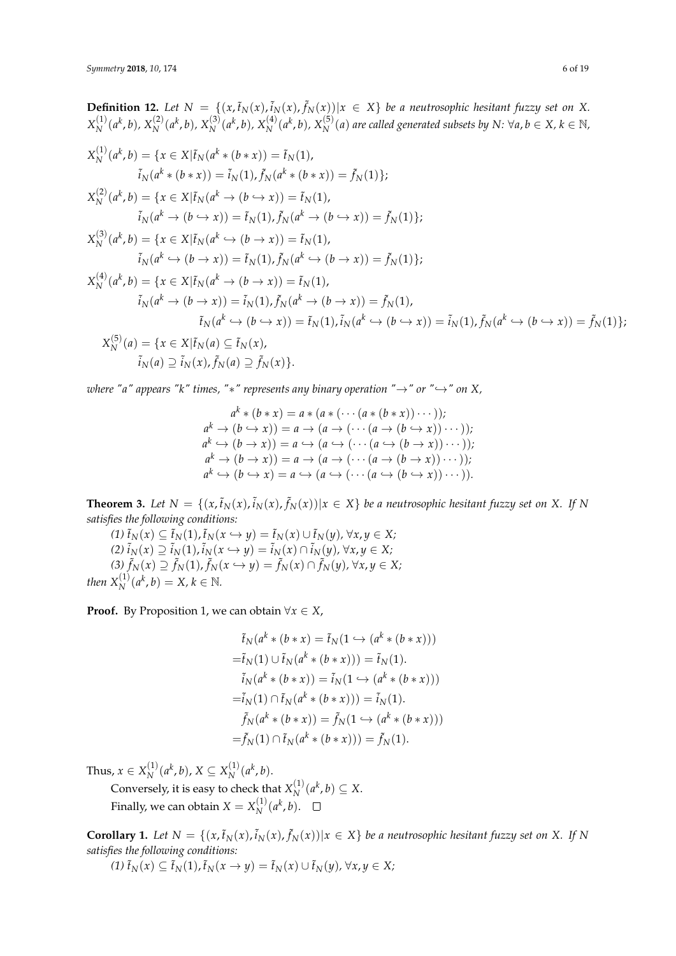**Definition 12.** Let  $N = \{(x, \tilde{t}_N(x), \tilde{t}_N(x), \tilde{f}_N(x)) | x \in X\}$  be a neutrosophic hesitant fuzzy set on X.  $X_N^{(1)}$  $X_N^{(1)}(a^k, b)$ ,  $X_N^{(2)}$  $X_N^{(2)}(a^k, b)$ ,  $X_N^{(3)}$  $X_N^{(3)}(a^k, b)$ ,  $X_N^{(4)}$  $\chi_N^{(4)}(a^k, b)$ ,  $X_N^{(5)}$  $N^{\left(5\right)}$  *(a) are called generated subsets by N:* ∀*a*, *b* ∈ *X*, *k* ∈ N,  $X_N^{(1)}$  $X_N^{(1)}(a^k, b) = \{x \in X | \tilde{t}_N(a^k * (b * x)) = \tilde{t}_N(1),\}$  $\tilde{i}_N(a^k * (b * x)) = \tilde{i}_N(1), \tilde{f}_N(a^k * (b * x)) = \tilde{f}_N(1)\};$  $X_N^{(2)}$  $X_N^{(2)}(a^k, b) = \{x \in X | \tilde{t}_N(a^k \to (b \hookrightarrow x)) = \tilde{t}_N(1),\}$  $\tilde{i}_N(a^k \to (b \hookrightarrow x)) = \tilde{i}_N(1), \tilde{f}_N(a^k \to (b \hookrightarrow x)) = \tilde{f}_N(1)\};$  $X_N^{(3)}$  $X_N^{(3)}(a^k, b) = \{x \in X | \tilde{t}_N(a^k \hookrightarrow (b \to x)) = \tilde{t}_N(1),$  $\tilde{i}_N(a^k \hookrightarrow (b \rightarrow x)) = \tilde{i}_N(1), \tilde{f}_N(a^k \hookrightarrow (b \rightarrow x)) = \tilde{f}_N(1)\};$  $X_N^{(4)}$  $X_N^{(4)}(a^k, b) = \{x \in X | \tilde{t}_N(a^k \to (b \to x)) = \tilde{t}_N(1),\}$  $\tilde{i}_N(a^k \to (b \to x)) = \tilde{i}_N(1), \tilde{f}_N(a^k \to (b \to x)) = \tilde{f}_N(1),$  $\tilde{t}_N(a^k \hookrightarrow (b \hookrightarrow x)) = \tilde{t}_N(1), \tilde{i}_N(a^k \hookrightarrow (b \hookrightarrow x)) = \tilde{i}_N(1), \tilde{f}_N(a^k \hookrightarrow (b \hookrightarrow x)) = \tilde{f}_N(1)\};$  $X_N^{(5)}$  $N^{(5)}(a) = \{x \in X | \tilde{t}_N(a) \subseteq \tilde{t}_N(x),\}$  $\tilde{i}_N(a) \supseteq \tilde{i}_N(x)$ ,  $\tilde{f}_N(a) \supseteq \tilde{f}_N(x)$ .

*where "a" appears "k" times, "\*" represents any binary operation "* $\rightarrow$ *" or "* $\rightarrow$ *" on X,* 

$$
a^{k} * (b * x) = a * (a * ( \cdots (a * (b * x)) \cdots ));
$$
  
\n
$$
a^{k} \rightarrow (b \rightarrow x)) = a \rightarrow (a \rightarrow ( \cdots (a \rightarrow (b \rightarrow x)) \cdots ));
$$
  
\n
$$
a^{k} \rightarrow (b \rightarrow x)) = a \rightarrow (a \rightarrow ( \cdots (a \rightarrow (b \rightarrow x)) \cdots ));
$$
  
\n
$$
a^{k} \rightarrow (b \rightarrow x)) = a \rightarrow (a \rightarrow ( \cdots (a \rightarrow (b \rightarrow x)) \cdots ));
$$
  
\n
$$
a^{k} \rightarrow (b \rightarrow x) = a \rightarrow (a \rightarrow ( \cdots (a \rightarrow (b \rightarrow x)) \cdots )).
$$

**Theorem 3.** Let  $N = \{(x,\tilde{t}_N(x),\tilde{t}_N(x),\tilde{f}_N(x)) | x \in X\}$  be a neutrosophic hesitant fuzzy set on X. If N *satisfies the following conditions:*

 $(f) \tilde{t}_N(x) \subseteq \tilde{t}_N(1), \tilde{t}_N(x \hookrightarrow y) = \tilde{t}_N(x) \cup \tilde{t}_N(y), \forall x, y \in X;$ *(2)*  $\tilde{i}_N(x) \supseteq \tilde{i}_N(1)$ ,  $\tilde{i}_N(x \leftrightarrow y) = \tilde{i}_N(x) \cap \tilde{i}_N(y)$ , ∀*x*, *y* ∈ *X*; *(3)*  $\tilde{f}_N(x) \supseteq \tilde{f}_N(1)$ ,  $\tilde{f}_N(x \leftrightarrow y) = \tilde{f}_N(x) \cap \tilde{f}_N(y)$ , ∀*x*, *y* ∈ *X*; *then*  $X_N^{(1)}(a^k, b) = X, k \in \mathbb{N}$ .

**Proof.** By Proposition 1, we can obtain  $\forall x \in X$ ,

$$
\tilde{t}_N(a^k * (b * x) = \tilde{t}_N(1 \hookrightarrow (a^k * (b * x)))
$$
  
\n
$$
= \tilde{t}_N(1) \cup \tilde{t}_N(a^k * (b * x))) = \tilde{t}_N(1).
$$
  
\n
$$
\tilde{i}_N(a^k * (b * x)) = \tilde{i}_N(1 \hookrightarrow (a^k * (b * x)))
$$
  
\n
$$
= \tilde{i}_N(1) \cap \tilde{t}_N(a^k * (b * x))) = \tilde{i}_N(1).
$$
  
\n
$$
\tilde{f}_N(a^k * (b * x)) = \tilde{f}_N(1 \hookrightarrow (a^k * (b * x)))
$$
  
\n
$$
= \tilde{f}_N(1) \cap \tilde{t}_N(a^k * (b * x))) = \tilde{f}_N(1).
$$

Thus,  $x \in X_N^{(1)}$  $\binom{1}{N}$ ( $a^k$ ,  $b$ ), *X* ⊆ *X*<sub>N</sub><sup>(1)</sup>  $\binom{1}{N}$   $(a^k, b)$ .

Conversely, it is easy to check that  $X_N^{(1)}$  $N^{(1)}(a^k, b) \subseteq X$ . Finally, we can obtain  $X = X_N^{(1)}$  $\binom{1}{N}$   $(a^k, b)$ .

**Corollary 1.** Let  $N = \{(x, \tilde{t}_N(x), \tilde{t}_N(x), \tilde{f}_N(x)) | x \in X\}$  be a neutrosophic hesitant fuzzy set on X. If N *satisfies the following conditions:*  $(f(x)) \subseteq \tilde{t}_N(1)$ ,  $\tilde{t}_N(x \to y) = \tilde{t}_N(x) \cup \tilde{t}_N(y)$ ,  $\forall x, y \in X;$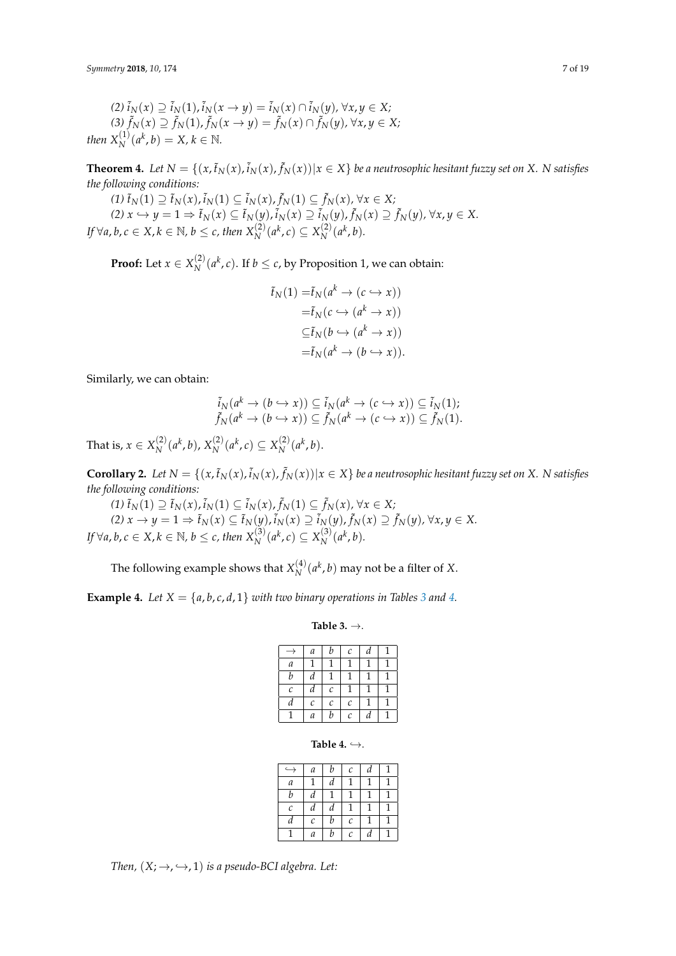*(2)*  $\tilde{i}_N(x) \supseteq \tilde{i}_N(1)$ ,  $\tilde{i}_N(x \to y) = \tilde{i}_N(x) \cap \tilde{i}_N(y)$ , ∀*x*, *y* ∈ *X*; *(3)*  $\tilde{f}_N(x) \supseteq \tilde{f}_N(1)$ ,  $\tilde{f}_N(x \to y) = \tilde{f}_N(x) \cap \tilde{f}_N(y)$ , ∀*x*, *y* ∈ *X*; *then*  $X_N^{(1)}(a^k, b) = X, k \in \mathbb{N}$ .

**Theorem 4.** Let  $N = \{(x, \tilde{t}_N(x), \tilde{t}_N(x), \tilde{f}_N(x)) | x \in X\}$  be a neutrosophic hesitant fuzzy set on X. N satisfies *the following conditions:*

*(1)*  $\tilde{t}_N(1) \supseteq \tilde{t}_N(x)$ ,  $\tilde{i}_N(1) \subseteq \tilde{i}_N(x)$ ,  $\tilde{f}_N(1) \subseteq \tilde{f}_N(x)$ , ∀ $x \in X$ ; (2)  $x \hookrightarrow y = 1 \Rightarrow \tilde{t}_N(x) \subseteq \tilde{t}_N(y)$ ,  $\tilde{i}_N(x) \supseteq \tilde{i}_N(y)$ ,  $\tilde{f}_N(x) \supseteq \tilde{f}_N(y)$ ,  $\forall x, y \in X$ . *If* ∀*a*, *b*, *c* ∈ *X*, *k* ∈ *N*, *b* ≤ *c*, *then*  $X_N^{(2)}(a^k, c) \subseteq X_N^{(2)}$  $N^{(2)}(a^k, b)$ .

**Proof:** Let  $x \in X_N^{(2)}$  $\binom{2}{N}$  ( $a^k$ , *c*). If  $b \leq c$ , by Proposition 1, we can obtain:

$$
\begin{aligned} \tilde{t}_N(1) &= \tilde{t}_N(a^k \to (c \hookrightarrow x)) \\ &= \tilde{t}_N(c \hookrightarrow (a^k \to x)) \\ &\subseteq \tilde{t}_N(b \hookrightarrow (a^k \to x)) \\ &= \tilde{t}_N(a^k \to (b \hookrightarrow x)). \end{aligned}
$$

Similarly, we can obtain:

$$
\tilde{i}_N(a^k \to (b \to x)) \subseteq \tilde{i}_N(a^k \to (c \to x)) \subseteq \tilde{i}_N(1);
$$
\n
$$
\tilde{f}_N(a^k \to (b \to x)) \subseteq \tilde{f}_N(a^k \to (c \to x)) \subseteq \tilde{f}_N(1).
$$

That is,  $x \in X_N^{(2)}$  $\chi_N^{(2)}(a^k, b)$ ,  $X_N^{(2)}$  $\binom{2}{N}$  (*a*<sup>k</sup>, *c*) ⊆  $X_N^{(2)}$  $N^{(2)}(a^k, b).$ 

**Corollary 2.** Let  $N = \{(x, \tilde{t}_N(x), \tilde{t}_N(x), \tilde{f}_N(x)) | x \in X\}$  be a neutrosophic hesitant fuzzy set on X. N satisfies *the following conditions:*

*(1)*  $\tilde{t}_N(1) \supseteq \tilde{t}_N(x)$ ,  $\tilde{i}_N(1) \subseteq \tilde{i}_N(x)$ ,  $\tilde{f}_N(1) \subseteq \tilde{f}_N(x)$ , ∀ $x \in X$ ; (2)  $x \to y = 1 \Rightarrow \tilde{t}_N(x) \subseteq \tilde{t}_N(y)$ ,  $\tilde{i}_N(x) \supseteq \tilde{i}_N(y)$ ,  $\tilde{f}_N(x) \supseteq \tilde{f}_N(y)$ ,  $\forall x, y \in X$ . *If* ∀*a*, *b*, *c* ∈ *X*, *k* ∈ *N*, *b* ≤ *c*, *then*  $X_N^{(3)}(a^k, c) \subseteq X_N^{(3)}$  $\binom{3}{N}$   $(a^k, b)$ .

The following example shows that  $X_N^{(4)}$  $N^{(4)}(a^k, b)$  may not be a filter of *X*.

<span id="page-6-0"></span>**Example [4.](#page-6-1)** *Let*  $X = \{a, b, c, d, 1\}$  *with two binary operations in Tables* [3](#page-6-0) *and* 4.

## **Table 3.** →.

|                       | а                     | b                     | $\mathcal C$ | d |  |
|-----------------------|-----------------------|-----------------------|--------------|---|--|
| а                     |                       |                       |              |   |  |
| b                     | d                     | 1                     |              |   |  |
| $\mathcal{C}_{0}^{2}$ | d                     | $\cal C$              |              |   |  |
| d                     | $\mathcal{C}_{0}^{2}$ | $\mathcal{C}_{0}^{2}$ | C            |   |  |
|                       | a                     | b                     | C            | d |  |

**Table 4.**  $\hookrightarrow$ .

| а                     | b | C | d |   |
|-----------------------|---|---|---|---|
|                       | d | 1 | 1 |   |
| d                     |   |   |   |   |
| d                     | d | 1 |   |   |
| $\mathcal{C}_{0}^{2}$ | b | С | 1 | 1 |
| а                     | b | С | d | 1 |
|                       |   |   |   |   |

<span id="page-6-1"></span>*Then,*  $(X; \rightarrow, \hookrightarrow, 1)$  *is a pseudo-BCI algebra. Let:*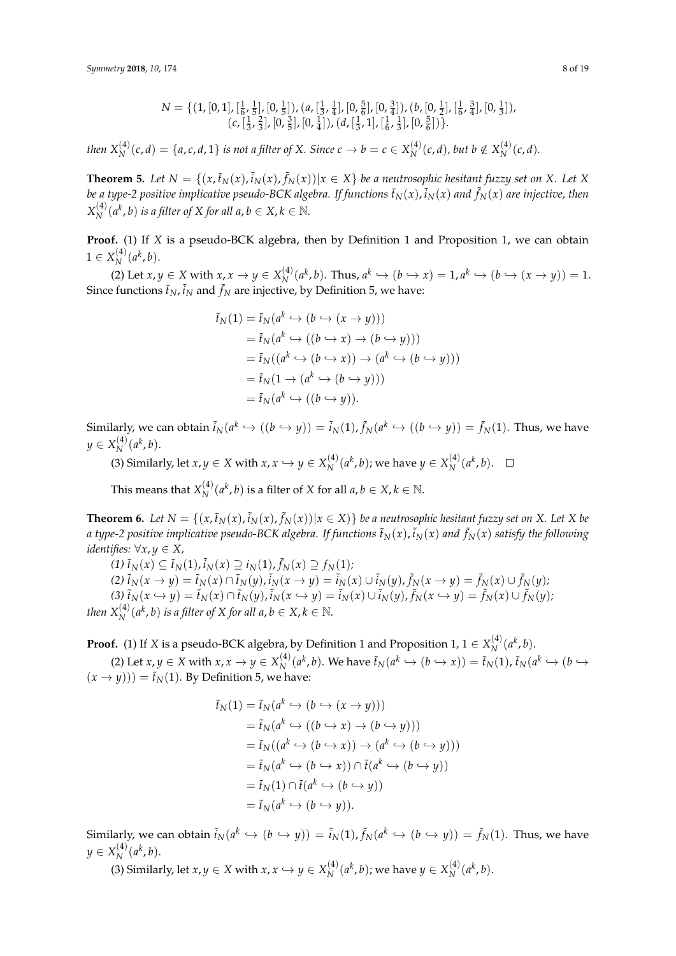$$
N = \{ (1, [0, 1], [\frac{1}{6}, \frac{1}{5}], [0, \frac{1}{5}]), (a, [\frac{1}{3}, \frac{1}{4}], [0, \frac{5}{6}], [0, \frac{3}{4}]), (b, [0, \frac{1}{2}], [\frac{1}{6}, \frac{3}{4}], [0, \frac{1}{3}]), (c, [\frac{1}{3}, \frac{2}{3}], [0, \frac{3}{5}], [0, \frac{1}{4}]), (d, [\frac{1}{3}, 1], [\frac{1}{6}, \frac{1}{3}], [0, \frac{5}{6}]) \}.
$$

*then*  $X_N^{(4)}(c,d) = \{a,c,d,1\}$  *is not a filter of X. Since*  $c \to b = c \in X_N^{(4)}$  $\chi_N^{(4)}(c,d)$ , but b ∉  $X_N^{(4)}$  $N^{(4)}(c,d)$ .

**Theorem 5.** Let  $N = \{(x, \tilde{t}_N(x), \tilde{t}_N(x), \tilde{f}_N(x)) | x \in X\}$  be a neutrosophic hesitant fuzzy set on X. Let X be a type-2 positive implicative pseudo-BCK algebra. If functions  $\tilde t_N(x)$  ,  $\tilde i_N(x)$  and  $\tilde f_N(x)$  are injective, then  $X_N^{(4)}$  $N^{(4)}(a^k, b)$  *is a filter of X for all a*,  $b \in X, k \in \mathbb{N}$ .

**Proof.** (1) If *X* is a pseudo-BCK algebra, then by Definition 1 and Proposition 1, we can obtain  $1 \in X_N^{(4)}$  $\binom{4}{N}$   $(a^k, b)$ .

(2) Let  $x, y \in X$  with  $x, x \to y \in X_N^{(4)}$  $\chi_N^{(4)}(a^k, b)$ . Thus,  $a^k \hookrightarrow (b \hookrightarrow x) = 1, a^k \hookrightarrow (b \hookrightarrow (x \rightarrow y)) = 1.$ Since functions  $\tilde t_N$ ,  $\tilde i_N$  and  $\tilde f_N$  are injective, by Definition 5, we have:

$$
\begin{aligned} \tilde{t}_N(1) &= \tilde{t}_N(a^k \hookrightarrow (b \hookrightarrow (x \to y))) \\ &= \tilde{t}_N(a^k \hookrightarrow ((b \hookrightarrow x) \to (b \hookrightarrow y))) \\ &= \tilde{t}_N((a^k \hookrightarrow (b \hookrightarrow x)) \to (a^k \hookrightarrow (b \hookrightarrow y))) \\ &= \tilde{t}_N(1 \to (a^k \hookrightarrow (b \hookrightarrow y))) \\ &= \tilde{t}_N(a^k \hookrightarrow ((b \hookrightarrow y)). \end{aligned}
$$

Similarly, we can obtain  $\tilde{i}_N(a^k\hookrightarrow((b\hookrightarrow y))=\tilde{i}_N(1)$ ,  $\tilde{f}_N(a^k\hookrightarrow((b\hookrightarrow y))=\tilde{f}_N(1).$  Thus, we have  $y \in X_N^{(4)}(a^k, b).$ *N*

(3) Similarly, let  $x, y \in X$  with  $x, x \hookrightarrow y \in X_N^{(4)}$  $N^{(4)}(a^k, b)$ ; we have  $y \in X_N^{(4)}$  $\binom{4}{N}$   $(a^k, b)$ .

This means that  $X_{N}^{\left( 4\right) }$  $\chi_N^{(4)}(a^k, b)$  is a filter of *X* for all  $a, b \in X, k \in \mathbb{N}$ .

**Theorem 6.** Let  $N = \{(x, \tilde{t}_N(x), \tilde{t}_N(x), \tilde{f}_N(x)) | x \in X)\}$  be a neutrosophic hesitant fuzzy set on X. Let X be a type-2 positive implicative pseudo-BCK algebra. If functions  $\tilde t_N(x)$  ,  $\tilde i_N(x)$  and  $\tilde f_N(x)$  satisfy the following *identifies:*  $∀x, y ∈ X$ ,

*(1)*  $\tilde{t}_N(x) \subseteq \tilde{t}_N(1)$ ,  $\tilde{i}_N(x) \supseteq i_N(1)$ ,  $\tilde{f}_N(x) \supseteq f_N(1)$ ; (2)  $\tilde{t}_N(x \to y) = \tilde{t}_N(x) \cap \tilde{t}_N(y)$ ,  $\tilde{i}_N(x \to y) = \tilde{i}_N(x) \cup \tilde{i}_N(y)$ ,  $\tilde{f}_N(x \to y) = \tilde{f}_N(x) \cup \tilde{f}_N(y)$ , (3)  $\tilde{t}_N(x \hookrightarrow y) = \tilde{t}_N(x) \cap \tilde{t}_N(y)$ ,  $\tilde{i}_N(x \hookrightarrow y) = \tilde{i}_N(x) \cup \tilde{i}_N(y)$ ,  $\tilde{f}_N(x \hookrightarrow y) = \tilde{f}_N(x) \cup \tilde{f}_N(y)$ ; *then*  $X_N^{(4)}(a^k, b)$  *is a filter of X for all a*,  $b \in X$ ,  $k \in \mathbb{N}$ .

**Proof.** (1) If *X* is a pseudo-BCK algebra, by Definition 1 and Proposition 1,  $1 \in X_N^{(4)}(a^k, b)$ . *N*

(2) Let  $x, y \in X$  with  $x, x \to y \in X_N^{(4)}$  $\tilde{f}_N(a^k, b)$ . We have  $\tilde{t}_N(a^k \hookrightarrow (b \hookrightarrow x)) = \tilde{t}_N(1)$ ,  $\tilde{t}_N(a^k \hookrightarrow (b \hookrightarrow x))$  $(x \rightarrow y)) = \tilde{t}_N(1)$ . By Definition 5, we have:

$$
\tilde{t}_N(1) = \tilde{t}_N(a^k \hookrightarrow (b \hookrightarrow (x \to y)))
$$
\n
$$
= \tilde{t}_N(a^k \hookrightarrow ((b \hookrightarrow x) \to (b \hookrightarrow y)))
$$
\n
$$
= \tilde{t}_N((a^k \hookrightarrow (b \hookrightarrow x)) \to (a^k \hookrightarrow (b \hookrightarrow y)))
$$
\n
$$
= \tilde{t}_N(a^k \hookrightarrow (b \hookrightarrow x)) \cap \tilde{t}(a^k \hookrightarrow (b \hookrightarrow y))
$$
\n
$$
= \tilde{t}_N(1) \cap \tilde{t}(a^k \hookrightarrow (b \hookrightarrow y))
$$
\n
$$
= \tilde{t}_N(a^k \hookrightarrow (b \hookrightarrow y)).
$$

Similarly, we can obtain  $\tilde{i}_N(a^k \hookrightarrow (b \hookrightarrow y)) = \tilde{i}_N(1)$ ,  $\tilde{f}_N(a^k \hookrightarrow (b \hookrightarrow y)) = \tilde{f}_N(1)$ . Thus, we have  $y \in X_N^{(4)}(a^k, b).$ *N*

(3) Similarly, let  $x, y \in X$  with  $x, x \hookrightarrow y \in X_N^{(4)}$  $N^{(4)}(a^k, b)$ ; we have  $y \in X_N^{(4)}$  $\binom{4}{N}$   $(a^k, b)$ .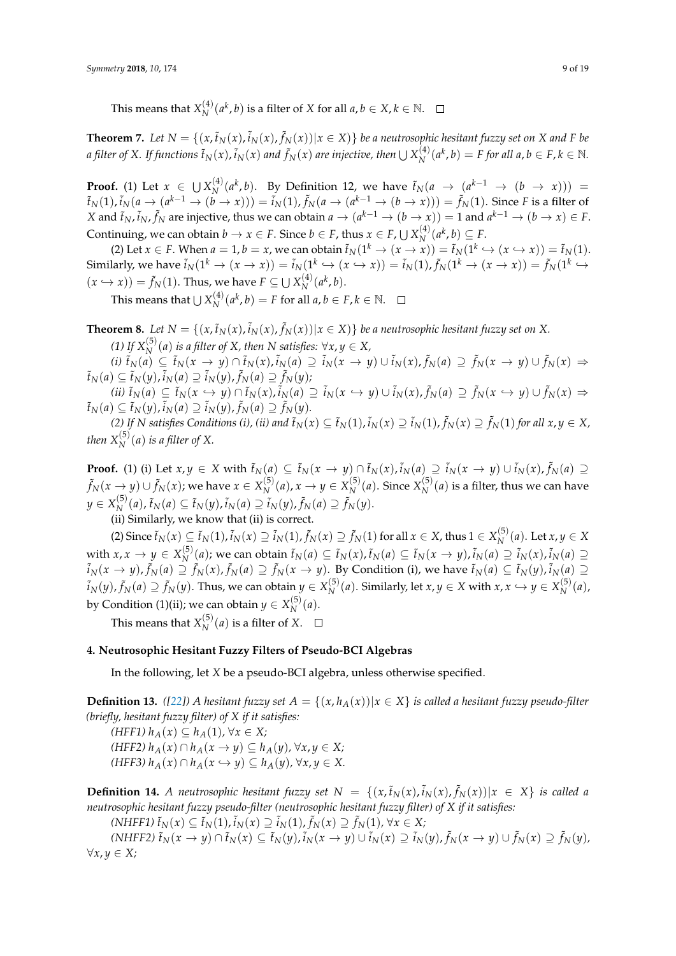This means that  $X^{(4)}_N$  $\chi_N^{(4)}(a^k, b)$  is a filter of *X* for all  $a, b \in X, k \in \mathbb{N}$ .

**Theorem 7.** Let  $N = \{(x,\tilde{t}_N(x),\tilde{t}_N(x),\tilde{f}_N(x))|x \in X)\}$  be a neutrosophic hesitant fuzzy set on X and F be *a filter of X. If functions*  $\tilde t_N(x)$  *,*  $\tilde i_N(x)$  *<i>and*  $\tilde f_N(x)$  *are injective, then*  $\cup$   $X_N^{(4)}$  $N^{(4)}(a^k, b) = F$  for all  $a, b \in F, k \in \mathbb{N}$ .

**Proof.** (1) Let  $x \in \bigcup X_N^{(4)}$  $\chi_N^{(4)}(a^k, b)$ . By Definition 12, we have  $\tilde{t}_N(a \rightarrow (a^{k-1} \rightarrow (b \rightarrow x)))$  =  $\tilde{t}_N(1)$ ,  $\tilde{i}_N(a\to(a^{k-1}\to(b\to x)))=\tilde{i}_N(1)$ ,  $\tilde{f}_N(a\to(a^{k-1}\to(b\to x)))=\tilde{f}_N(1).$  Since F is a filter of *X* and  $\tilde{t}_N$ ,  $\tilde{i}_N$ ,  $\tilde{f}_N$  are injective, thus we can obtain  $a \to (a^{k-1} \to (b \to x)) = 1$  and  $a^{k-1} \to (b \to x) \in F$ . Continuing, we can obtain  $b \to x \in F$ . Since  $b \in F$ , thus  $x \in F$ ,  $\bigcup X_N^{(4)}$  $\binom{4}{N}$   $(a^k, b) \subseteq F$ .

(2) Let  $x \in F$ . When  $a = 1$ ,  $b = x$ , we can obtain  $\tilde{t}_N(1^k \to (x \to x)) = \tilde{t}_N(1^k \to (x \to x)) = \tilde{t}_N(1)$ . Similarly, we have  $\tilde{i}_N(1^k\to (x\to x))=\tilde{i}_N(1^k\to (x\to x))=\tilde{i}_N(1)$ ,  $\tilde{f}_N(1^k\to (x\to x))=\tilde{f}_N(1^k\to x)$  $f(x \hookrightarrow x)) = \tilde{f}_N(1)$ . Thus, we have  $F \subseteq \bigcup X_N^{(4)}$  $\binom{4}{N}$   $(a^k, b)$ .

This means that  $\cup X^{(4)}_{N}$  $N^{(4)}(a^k, b) = F$  for all  $a, b \in F, k \in \mathbb{N}$ .

**Theorem 8.** Let  $N = \{(x, \tilde{t}_N(x), \tilde{t}_N(x)) | x \in X\}$  be a neutrosophic hesitant fuzzy set on X. *(1)* If  $X_N^{(5)}(a)$  is a filter of X, then N satisfies:  $\forall x, y \in X$ ,

(i)  $\tilde{t}_N(a) \subseteq \tilde{t}_N(x \to y) \cap \tilde{t}_N(x)$ ,  $\tilde{i}_N(a) \supseteq \tilde{i}_N(x \to y) \cup \tilde{i}_N(x)$ ,  $\tilde{f}_N(a) \supseteq \tilde{f}_N(x \to y) \cup \tilde{f}_N(x) \Rightarrow$  $\tilde{t}_N(a) \subseteq \tilde{t}_N(y)$ ,  $\tilde{i}_N(a) \supseteq \tilde{i}_N(y)$ ,  $\tilde{f}_N(a) \supseteq \tilde{f}_N(y)$ ;

(ii)  $\tilde{t}_N(a) \subseteq \tilde{t}_N(x \hookrightarrow y) \cap \tilde{t}_N(x), \tilde{i}_N(a) \supseteq \tilde{i}_N(x \hookrightarrow y) \cup \tilde{i}_N(x), \tilde{f}_N(a) \supseteq \tilde{f}_N(x \hookrightarrow y) \cup \tilde{f}_N(x) \Rightarrow$  $\tilde{t}_N(a) \subseteq \tilde{t}_N(y), \tilde{i}_N(a) \supseteq \tilde{i}_N(y), \tilde{f}_N(a) \supseteq \tilde{f}_N(y).$ 

(2) If N satisfies Conditions (i), (ii) and  $\tilde{t}_N(x)\subseteq \tilde{t}_N(1)$ ,  $\tilde{i}_N(x)\supseteq \tilde{i}_N(1)$ ,  $\tilde{f}_N(x)\supseteq \tilde{f}_N(1)$  for all  $x,y\in X$ , *then*  $X_N^{(5)}(a)$  *is a filter of* X.

**Proof.** (1) (i) Let  $x, y \in X$  with  $\tilde{t}_N(a) \subseteq \tilde{t}_N(x \to y) \cap \tilde{t}_N(x)$ ,  $\tilde{i}_N(a) \supseteq \tilde{i}_N(x \to y) \cup \tilde{i}_N(x)$ ,  $\tilde{f}_N(a) \supseteq$  $\tilde{f}_N(x\rightarrow y)\cup \tilde{f}_N(x)$ ; we have  $x\in X_N^{(5)}$  $N^{(5)}(a)$ ,  $x \to y \in X_N^{(5)}$  $N^{(5)}(a)$ . Since  $X_N^{(5)}$  $N^{(9)}(a)$  is a filter, thus we can have  $y \in X_N^{(5)}$  $\tilde{f}_N(a)$ ,  $\tilde{t}_N(a) \subseteq \tilde{t}_N(y)$ ,  $\tilde{i}_N(a) \supseteq \tilde{i}_N(y)$ ,  $\tilde{f}_N(a) \supseteq \tilde{f}_N(y)$ .

(ii) Similarly, we know that (ii) is correct.

(2) Since  $\tilde{t}_N(x)\subseteq \tilde{t}_N(1)$ ,  $\tilde{i}_N(x)\supseteq \tilde{i}_N(1)$ ,  $\tilde{f}_N(x)\supseteq \tilde{f}_N(1)$  for all  $x\in X$ , thus  $1\in X_N^{(5)}$  $N^{(3)}(a)$ . Let *x*, *y* ∈ *X* with  $x, x \rightarrow y \in X_N^{(5)}$  $\tilde{f}_N^{(5)}(a)$ ; we can obtain  $\tilde{t}_N(a) \subseteq \tilde{t}_N(x)$ ,  $\tilde{t}_N(a) \subseteq \tilde{t}_N(x \to y)$ ,  $\tilde{i}_N(a) \supseteq \tilde{i}_N(x)$ ,  $\tilde{i}_N(a) \supseteq$  $\tilde{f}_N(x\to y)$ ,  $\tilde{f}_N(a)\supseteq \tilde{f}_N(x)$ ,  $\tilde{f}_N(a)\supseteq \tilde{f}_N(x\to y)$ . By Condition (i), we have  $\tilde{t}_N(a)\subseteq \tilde{t}_N(y)$ ,  $\tilde{i}_N(a)\supseteq \tilde{t}_N(a)$  $\tilde{f}_N(y)$ ,  $\tilde{f}_N(a) \supseteq \tilde{f}_N(y).$  Thus, we can obtain  $y \in X_N^{(5)}$ *N*<sup>(5)</sup></sup> (*a*). Similarly, let *x*, *y* ∈ *X* with *x*, *x* ↔ *y* ∈ *X*<sub>*N*</sub><sup>(5)</sup>)  $N^{(3)}(a)$ , by Condition (1)(ii); we can obtain  $y \in X^{(5)}_N$  $N^{(3)}(a)$ .

This means that  $X_{N}^{(5)}$  $N^{(3)}(a)$  is a filter of *X*.

## <span id="page-8-0"></span>**4. Neutrosophic Hesitant Fuzzy Filters of Pseudo-BCI Algebras**

In the following, let *X* be a pseudo-BCI algebra, unless otherwise specified.

**Definition 13.** ([\[22\]](#page-17-6)) A hesitant fuzzy set  $A = \{(x, h_A(x)) | x \in X\}$  is called a hesitant fuzzy pseudo-filter *(briefly, hesitant fuzzy filter) of X if it satisfies:*

*(HFF1) hA*(*x*) ⊆ *hA*(1)*,* ∀*x* ∈ *X; (HFF2)*  $h_A(x) ∩ h_A(x \rightarrow y) ⊆ h_A(y)$ , ∀*x*, *y* ∈ *X*;  $(HFF3)$   $h_A(x) \cap h_A(x \hookrightarrow y) \subseteq h_A(y)$ ,  $\forall x, y \in X$ .

**Definition 14.** A neutrosophic hesitant fuzzy set  $N = \{(x, \tilde{t}_N(x), \tilde{t}_N(x), \tilde{f}_N(x)) | x \in X\}$  is called a *neutrosophic hesitant fuzzy pseudo-filter (neutrosophic hesitant fuzzy filter) of X if it satisfies:*

 $(MHFF1) \tilde{t}_N(x) \subseteq \tilde{t}_N(1), \tilde{i}_N(x) \supseteq \tilde{i}_N(1), \tilde{f}_N(x) \supseteq \tilde{f}_N(1), \forall x \in X;$ 

(NHFF2)  $\tilde{t}_N(x \to y) \cap \tilde{t}_N(x) \subseteq \tilde{t}_N(y)$  ,  $\tilde{i}_N(x \to y) \cup \tilde{i}_N(x) \supseteq \tilde{i}_N(y)$  ,  $\tilde{f}_N(x \to y) \cup \tilde{f}_N(x) \supseteq \tilde{f}_N(y)$ , ∀*x*, *y* ∈ *X;*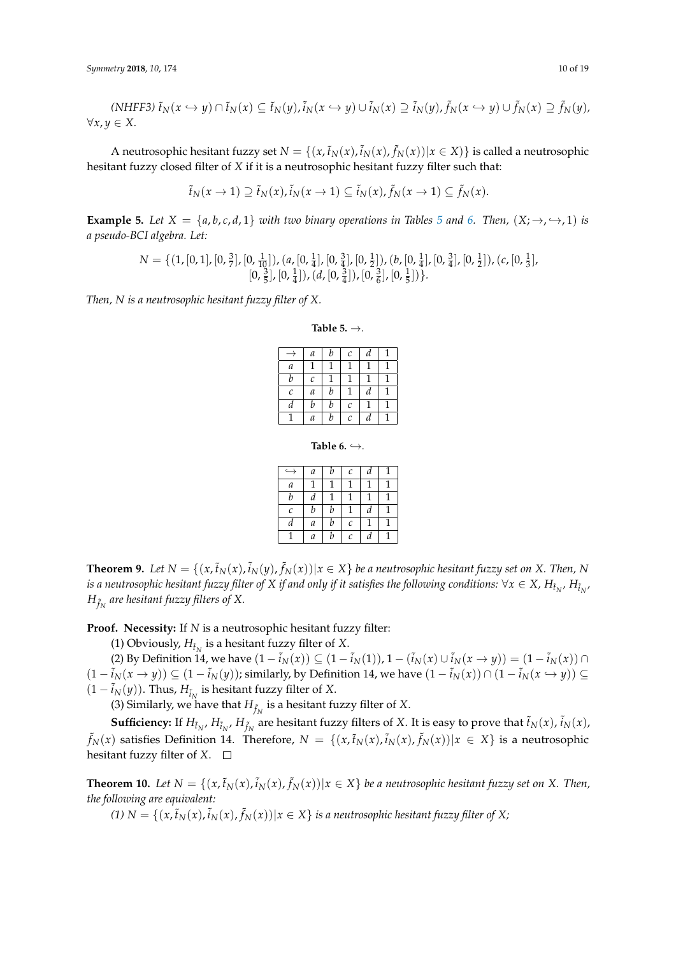$$
(NHFF3) \tilde{t}_N(x \hookrightarrow y) \cap \tilde{t}_N(x) \subseteq \tilde{t}_N(y), \tilde{t}_N(x \hookrightarrow y) \cup \tilde{t}_N(x) \supseteq \tilde{t}_N(y), \tilde{f}_N(x \hookrightarrow y) \cup \tilde{f}_N(x) \supseteq \tilde{f}_N(y),
$$
  

$$
\forall x, y \in X.
$$

A neutrosophic hesitant fuzzy set  $N = \{(x, \tilde{t}_N(x), \tilde{i}_N(x), \tilde{f}_N(x)) | x \in X)\}$  is called a neutrosophic hesitant fuzzy closed filter of *X* if it is a neutrosophic hesitant fuzzy filter such that:

$$
\tilde{t}_N(x \to 1) \supseteq \tilde{t}_N(x), \tilde{t}_N(x \to 1) \subseteq \tilde{t}_N(x), \tilde{f}_N(x \to 1) \subseteq \tilde{f}_N(x).
$$

**Example [5](#page-9-0).** Let  $X = \{a, b, c, d, 1\}$  *with two binary operations in Tables* 5 *and* [6.](#page-9-1) *Then,*  $(X; \rightarrow, \rightarrow, 1)$  *is a pseudo-BCI algebra. Let:*

$$
N = \{ (1, [0, 1], [0, \frac{3}{7}], [0, \frac{1}{10}]), (a, [0, \frac{1}{4}], [0, \frac{3}{4}], [0, \frac{1}{2}]), (b, [0, \frac{1}{4}], [0, \frac{3}{4}], [0, \frac{1}{2}]), (c, [0, \frac{1}{3}], [0, \frac{3}{5}], [0, \frac{1}{4}]), (d, [0, \frac{3}{4}]), [0, \frac{3}{6}], [0, \frac{1}{5}]\} \}.
$$

<span id="page-9-0"></span>*Then, N is a neutrosophic hesitant fuzzy filter of X.*

**Table 5.** →.

|               | а | b | C | d |   |
|---------------|---|---|---|---|---|
| а             |   |   | 1 | 1 | 1 |
| b             | C |   |   | 1 |   |
| $\mathcal{C}$ | a | b | 1 | d | 1 |
| d             | b | b | C | 1 | 1 |
|               | а | b | C | d |   |

**Table 6.**  $\hookrightarrow$ .

| ↩ | a | b | C                     | d |  |
|---|---|---|-----------------------|---|--|
| а |   |   |                       |   |  |
| b | d |   |                       |   |  |
| C | b | b |                       | d |  |
| d | а | b | $\mathcal{C}_{0}^{2}$ |   |  |
|   | а | b | $\mathcal{C}_{0}^{2}$ | d |  |

<span id="page-9-1"></span>**Theorem 9.** Let  $N = \{(x, \tilde{t}_N(x), \tilde{i}_N(y), \tilde{f}_N(x)) | x \in X\}$  be a neutrosophic hesitant fuzzy set on X. Then, N is a neutrosophic hesitant fuzzy filter of  $X$  if and only if it satisfies the following conditions:  $\forall x\in X$ ,  $H_{\tilde{t}_N}$ ,  $H_{\tilde{i}_N}$ ,  $H_{\tilde{f}_N}$  are hesitant fuzzy filters of X.

**Proof. Necessity:** If *N* is a neutrosophic hesitant fuzzy filter:

(1) Obviously,  $H_{\tilde{t}_N}$  is a hesitant fuzzy filter of *X*.

(2) By Definition 14, we have  $(1 - \tilde{i}_N(x)) \subseteq (1 - \tilde{i}_N(1))$ ,  $1 - (\tilde{i}_N(x) \cup \tilde{i}_N(x \to y)) = (1 - \tilde{i}_N(x)) \cap$  $(1 - \tilde{i}_N(x \to y))$  ⊆  $(1 - \tilde{i}_N(y))$ ; similarly, by Definition 14, we have  $(1 - \tilde{i}_N(x)) \cap (1 - \tilde{i}_N(x \to y))$  ⊆  $(1 - \tilde{i}_N(y))$ . Thus,  $H_{\tilde{i}_N}$  is hesitant fuzzy filter of *X*.

(3) Similarly, we have that  $H_{\tilde{f}_N}$  is a hesitant fuzzy filter of  $X$ .

**Sufficiency:** If  $H_{\tilde{t}_N}$ ,  $H_{\tilde{t}_N}$ ,  $H_{\tilde{f}_N}$  are hesitant fuzzy filters of X. It is easy to prove that  $\tilde{t}_N(x)$ ,  $\tilde{i}_N(x)$ ,  $\tilde{f}_N(x)$  satisfies Definition 14. Therefore,  $N \ = \ \{(x, \tilde{t}_N(x), \tilde{i}_N(x), \tilde{f}_N(x)) | x \ \in \ X \}$  is a neutrosophic hesitant fuzzy filter of  $X$ .  $\square$ 

**Theorem 10.** Let  $N = \{(x, \tilde{t}_N(x), \tilde{t}_N(x)) | x \in X\}$  be a neutrosophic hesitant fuzzy set on X. Then, *the following are equivalent:*

*(1)*  $N = \{(x, \tilde{t}_N(x), \tilde{i}_N(x), \tilde{f}_N(x)) | x \in X\}$  is a neutrosophic hesitant fuzzy filter of X;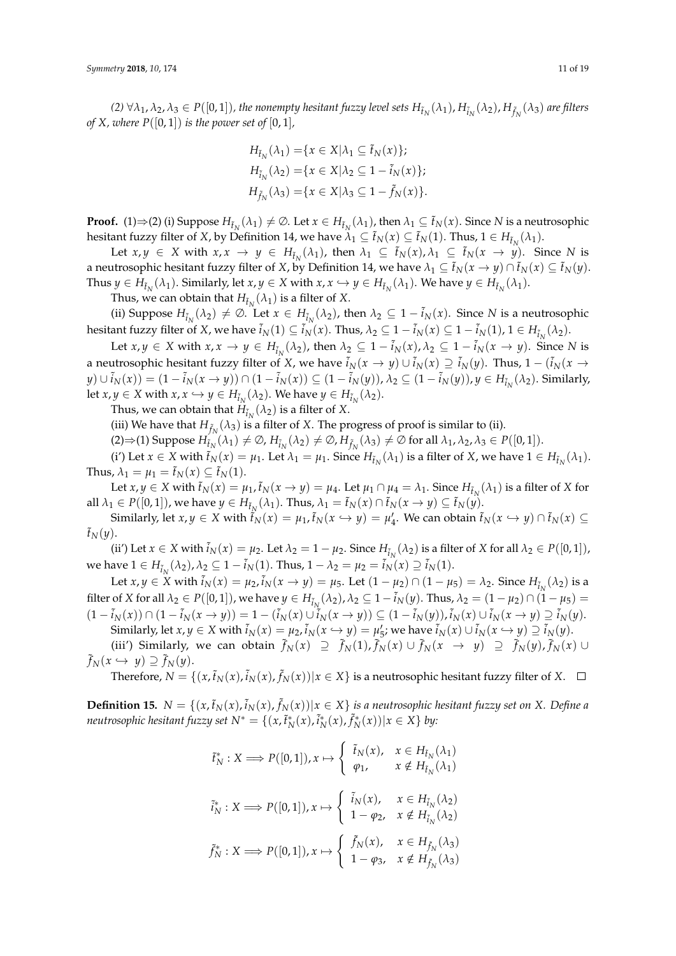(2)  $\forall \lambda_1, \lambda_2, \lambda_3 \in P([0,1])$ , the nonempty hesitant fuzzy level sets  $H_{\tilde{t}_N}(\lambda_1)$ ,  $H_{\tilde{t}_N}(\lambda_2)$ ,  $H_{\tilde{f}_N}(\lambda_3)$  are filters *of X, where P*( $[0, 1]$ ) *is the power set of*  $[0, 1]$ *,* 

$$
H_{\tilde{t}_N}(\lambda_1) = \{ x \in X | \lambda_1 \subseteq \tilde{t}_N(x) \};
$$
  
\n
$$
H_{\tilde{t}_N}(\lambda_2) = \{ x \in X | \lambda_2 \subseteq 1 - \tilde{t}_N(x) \};
$$
  
\n
$$
H_{\tilde{f}_N}(\lambda_3) = \{ x \in X | \lambda_3 \subseteq 1 - \tilde{f}_N(x) \}.
$$

**Proof.** (1)⇒(2) (i) Suppose  $H_{\tilde{t}_N}(\lambda_1) \neq \emptyset$ . Let  $x \in H_{\tilde{t}_N}(\lambda_1)$ , then  $\lambda_1 \subseteq \tilde{t}_N(x)$ . Since *N* is a neutrosophic hesitant fuzzy filter of *X*, by Definition 14, we have  $\lambda_1 \subseteq \tilde{t}_N(x) \subseteq \tilde{t}_N(1)$ . Thus,  $1 \in H_{\tilde{t}_N}(\lambda_1)$ .

Let  $x, y \in X$  with  $x, x \to y \in H_{\tilde{t}_N}(\lambda_1)$ , then  $\lambda_1 \subseteq \tilde{t}_N(x), \lambda_1 \subseteq \tilde{t}_N(x \to y)$ . Since N is a neutrosophic hesitant fuzzy filter of *X*, by Definition 14, we have  $\lambda_1 \subseteq \tilde{t}_N(x \to y) \cap \tilde{t}_N(x) \subseteq \tilde{t}_N(y)$ . Thus  $y \in H_{\tilde{t}_N}(\lambda_1)$ . Similarly, let  $x, y \in X$  with  $x, x \hookrightarrow y \in H_{\tilde{t}_N}(\lambda_1)$ . We have  $y \in H_{\tilde{t}_N}(\lambda_1)$ .

Thus, we can obtain that  $H_{\tilde{t}_N}(\lambda_1)$  is a filter of X.

(ii) Suppose  $H_{\tilde{i}_N}(\lambda_2) \neq \emptyset$ . Let  $x \in H_{\tilde{i}_N}(\lambda_2)$ , then  $\lambda_2 \subseteq 1 - \tilde{i}_N(x)$ . Since *N* is a neutrosophic hesitant fuzzy filter of *X*, we have  $\tilde{i}_N(1) \subseteq \tilde{i}_N(x)$ . Thus,  $\lambda_2 \subseteq 1 - \tilde{i}_N(x) \subseteq 1 - \tilde{i}_N(1)$ ,  $1 \in H_{\tilde{i}_N}(\lambda_2)$ .

Let  $x, y \in X$  with  $x, x \to y \in H_{\tilde{t}_N}(\lambda_2)$ , then  $\lambda_2 \subseteq 1 - \tilde{t}_N(x)$ ,  $\lambda_2 \subseteq 1 - \tilde{t}_N(x \to y)$ . Since N is a neutrosophic hesitant fuzzy filter of *X*, we have  $\tilde{i}_N(x \to y) \cup \tilde{i}_N(x) \supseteq \tilde{i}_N(y)$ . Thus,  $1 - (\tilde{i}_N(x \to y))$  $(y) \cup \tilde{i}_N(x)) = (1 - \tilde{i}_N(x \to y)) \cap (1 - \tilde{i}_N(x)) \subseteq (1 - \tilde{i}_N(y)), \lambda_2 \subseteq (1 - \tilde{i}_N(y)), y \in H_{\tilde{i}_N}(\lambda_2)$ . Similarly, let  $x, y \in X$  with  $x, x \hookrightarrow y \in H_{\tilde{i}_N}(\lambda_2)$ . We have  $y \in H_{\tilde{i}_N}(\lambda_2)$ .

Thus, we can obtain that  $H_{\tilde{t}_N}(\lambda_2)$  is a filter of X.

(iii) We have that  $H_{\tilde{f}_N}(\lambda_3)$  is a filter of *X*. The progress of proof is similar to (ii).

 $(2) \Rightarrow (1)$  Suppose  $H_{\tilde{t}_N}(\lambda_1) \neq \emptyset$ ,  $H_{\tilde{t}_N}(\lambda_2) \neq \emptyset$ ,  $H_{\tilde{f}_N}(\lambda_3) \neq \emptyset$  for all  $\lambda_1, \lambda_2, \lambda_3 \in P([0, 1]).$ 

(i') Let  $x \in X$  with  $\tilde{t}_N(x) = \mu_1$ . Let  $\lambda_1 = \mu_1$ . Since  $H_{\tilde{t}_N}(\lambda_1)$  is a filter of  $X$ , we have  $1 \in H_{\tilde{t}_N}(\lambda_1)$ . Thus,  $\lambda_1 = \mu_1 = \tilde{t}_N(x) \subseteq \tilde{t}_N(1)$ .

Let  $x, y \in X$  with  $\tilde{t}_N(x) = \mu_1$ ,  $\tilde{t}_N(x \to y) = \mu_4$ . Let  $\mu_1 \cap \mu_4 = \lambda_1$ . Since  $H_{\tilde{t}_N}(\lambda_1)$  is a filter of X for all  $\lambda_1 \in P([0,1])$ , we have  $y \in H_{\tilde{t}_N}(\lambda_1)$ . Thus,  $\lambda_1 = \tilde{t}_N(x) \cap \tilde{t}_N(x \to y) \subseteq \tilde{t}_N(y)$ .

Similarly, let  $x, y \in X$  with  $\tilde{f}_N(x) = \mu_1$ ,  $\tilde{t}_N(x \hookrightarrow y) = \mu'_4$ . We can obtain  $\tilde{t}_N(x \hookrightarrow y) \cap \tilde{t}_N(x) \subseteq$  $ilde{t}_N(y)$ .

(ii') Let  $x \in X$  with  $\tilde{i}_N(x) = \mu_2$ . Let  $\lambda_2 = 1 - \mu_2$ . Since  $H_{\tilde{i}_N}(\lambda_2)$  is a filter of *X* for all  $\lambda_2 \in P([0, 1])$ , we have 1 ∈ *H*<sub> $\tilde{i}_N$ </sub>( $λ_2$ ),  $λ_2$  ⊆ 1 −  $\tilde{i}_N$ (1). Thus, 1 −  $λ_2$  =  $μ_2$  =  $\tilde{i}_N$ ( $x$ ) ⊇  $\tilde{i}_N$ (1).

Let  $x, y \in X$  with  $\tilde{i}_N(x) = \mu_2$ ,  $\tilde{i}_N(x \to y) = \mu_5$ . Let  $(1 - \mu_2) \cap (1 - \mu_5) = \lambda_2$ . Since  $H_{\tilde{i}_N}(\lambda_2)$  is a filter of *X* for all  $\lambda_2 \in P([0,1])$ , we have  $y \in H_{\tilde{t}_N}(\lambda_2)$ ,  $\lambda_2 \subseteq 1 - \tilde{t}_N(y)$ . Thus,  $\lambda_2 = (1 - \mu_2) \cap (1 - \mu_5) =$  $(1-\tilde{i}_N(x))\cap(1-\tilde{i}_N(x\rightarrow y))=1-(\tilde{i}_N(x)\cup\tilde{i}_N(x\rightarrow y))\subseteq(1-\tilde{i}_N(y)), \tilde{i}_N(x)\cup\tilde{i}_N(x\rightarrow y)\supseteq\tilde{i}_N(y).$ Similarly, let  $x, y \in X$  with  $\tilde{i}_N(x) = \mu_2$ ,  $\tilde{i}_N(x \hookrightarrow y) = \mu'_5$ ; we have  $\tilde{i}_N(x) \cup \tilde{i}_N(x \hookrightarrow y) \supseteq \tilde{i}_N(y)$ .

(iii') Similarly, we can obtain  $\tilde{f}_N(x) \supseteq \tilde{f}_N(1)$ ,  $\tilde{f}_N(x) \cup \tilde{f}_N(x \rightarrow y) \supseteq \tilde{f}_N(y)$ ,  $\tilde{f}_N(x) \cup$  $\tilde{f}_N(x \hookrightarrow y) \supseteq \tilde{f}_N(y).$ 

Therefore,  $N = \{(x, \tilde{t}_N(x), \tilde{t}_N(x), \tilde{f}_N(x)) | x \in X\}$  is a neutrosophic hesitant fuzzy filter of X.

**Definition 15.**  $N = \{(x, \tilde{t}_N(x), \tilde{t}_N(x), \tilde{f}_N(x)) | x \in X\}$  is a neutrosophic hesitant fuzzy set on X. Define a *neutrosophic hesitant fuzzy set*  $N^* = \{(x, \tilde{t}_N^*(x), \tilde{t}_N^*(x), \tilde{f}_N^*(x)) | x \in X\}$  by:

$$
\tilde{t}_N^* : X \Longrightarrow P([0,1]), x \mapsto \begin{cases} \tilde{t}_N(x), & x \in H_{\tilde{t}_N}(\lambda_1) \\ \varphi_1, & x \notin H_{\tilde{t}_N}(\lambda_1) \end{cases}
$$

$$
\tilde{t}_N^* : X \Longrightarrow P([0,1]), x \mapsto \begin{cases} \tilde{t}_N(x), & x \in H_{\tilde{t}_N}(\lambda_2) \\ 1 - \varphi_2, & x \notin H_{\tilde{t}_N}(\lambda_2) \end{cases}
$$

$$
\tilde{f}_N^* : X \Longrightarrow P([0,1]), x \mapsto \begin{cases} \tilde{f}_N(x), & x \in H_{\tilde{f}_N}(\lambda_3) \\ 1 - \varphi_3, & x \notin H_{\tilde{f}_N}(\lambda_3) \end{cases}
$$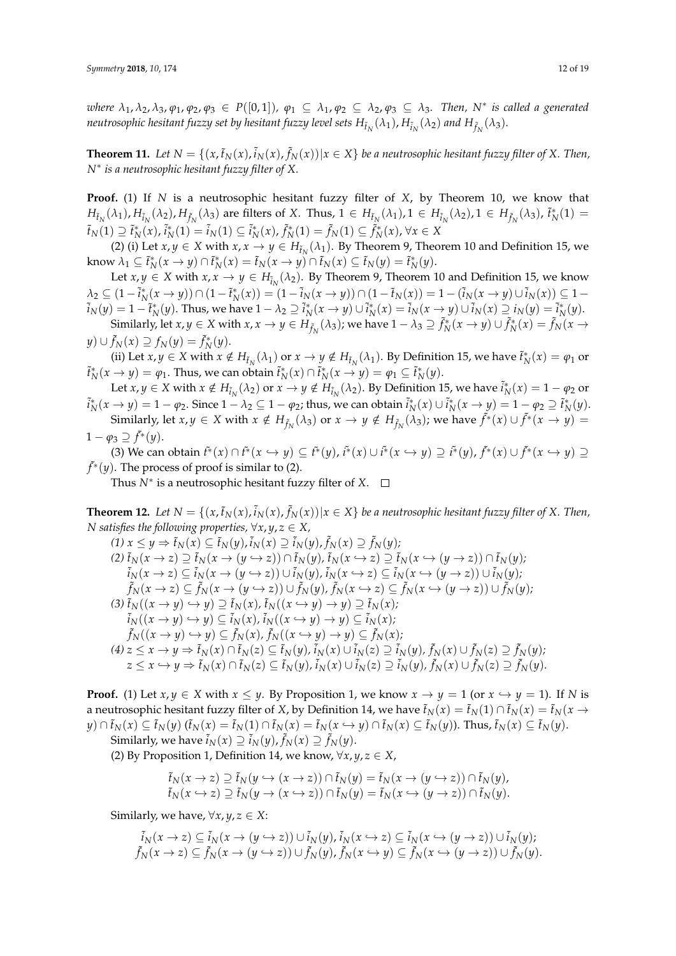where  $\lambda_1, \lambda_2, \lambda_3, \varphi_1, \varphi_2, \varphi_3 \in P([0,1]), \varphi_1 \subseteq \lambda_1, \varphi_2 \subseteq \lambda_2, \varphi_3 \subseteq \lambda_3$ . Then, N<sup>\*</sup> is called a generated  $n$ eutrosophic hesitant fuzzy set by hesitant fuzzy level sets  $H_{\tilde t_N}(\lambda_1)$ ,  $H_{\tilde t_N}(\lambda_2)$  and  $H_{\tilde f_N}(\lambda_3)$ .

**Theorem 11.** Let  $N = \{(x,\tilde{t}_N(x),\tilde{t}_N(x),\tilde{f}_N(x))|x \in X\}$  be a neutrosophic hesitant fuzzy filter of X. Then, *N*∗ *is a neutrosophic hesitant fuzzy filter of X.*

**Proof.** (1) If *N* is a neutrosophic hesitant fuzzy filter of *X*, by Theorem 10, we know that  $H_{\tilde{t}_N}(\lambda_1)$ ,  $H_{\tilde{t}_N}(\lambda_2)$ ,  $H_{\tilde{f}_N}(\lambda_3)$  are filters of X. Thus,  $1 \in H_{\tilde{t}_N}(\lambda_1)$ ,  $1 \in H_{\tilde{t}_N}(\lambda_2)$ ,  $1 \in H_{\tilde{f}_N}(\lambda_3)$ ,  $\tilde{t}_N^*(1) =$  $\tilde{t}_N(1) \supseteq \tilde{t}_N^*(x)$ ,  $\tilde{i}_N^*(1) = \tilde{i}_N(1) \subseteq \tilde{i}_N^*(x)$ ,  $\tilde{f}_N^*(1) = \tilde{f}_N(1) \subseteq \tilde{f}_N^*(x)$ ,  $\forall x \in X$ 

(2) (i) Let  $x, y \in X$  with  $x, x \to y \in H_{\tilde{t}_N}(\lambda_1)$ . By Theorem 9, Theorem 10 and Definition 15, we know  $\lambda_1 \subseteq \tilde{t}_N^*(x \to y) \cap \tilde{t}_N^*(x) = \tilde{t}_N(x \to y) \cap \tilde{t}_N(x) \subseteq \tilde{t}_N(y) = \tilde{t}_N^*(y)$ .

Let  $x, y \in X$  with  $x, x \to y \in H_{\tilde{i}_N}(\lambda_2)$ . By Theorem 9, Theorem 10 and Definition 15, we know  $\lambda_2 \subseteq (1 - \tilde{i}_N^*(x \to y)) \cap (1 - \tilde{i}_N^*(x)) = (1 - \tilde{i}_N(x \to y)) \cap (1 - \tilde{i}_N(x)) = 1 - (\tilde{i}_N(x \to y) \cup \tilde{i}_N(x)) \subseteq 1 \tilde{i}_N(y) = 1 - \tilde{i}_N^*(y)$ . Thus, we have  $1 - \lambda_2 \supseteq \tilde{i}_N^*(x \to y) \cup \tilde{i}_N^*(x) = \tilde{i}_N(x \to y) \cup \tilde{i}_N(x) \supseteq i_N(y) = \tilde{i}_N^*(y)$ . Similarly, let  $x, y \in X$  with  $x, x \to y \in H_{\tilde{f}_N}(\lambda_3)$ ; we have  $1 - \lambda_3 \supseteq \tilde{f}_N^*(x \to y) \cup \tilde{f}_N^*(x) = \tilde{f}_N(x \to y)$ 

 $y) \cup \tilde{f}_N(x) \supseteq f_N(y) = \tilde{f}_N^*(y).$ 

(ii) Let  $x, y \in X$  with  $x \notin H_{\tilde{t}_N}(\lambda_1)$  or  $x \to y \notin H_{\tilde{t}_N}(\lambda_1)$ . By Definition 15, we have  $\tilde{t}_N^*(x) = \varphi_1$  or  $\tilde{t}_N^*(x \to y) = \varphi_1$ . Thus, we can obtain  $\tilde{t}_N^*(x) \cap \tilde{t}_N^*(x \to y) = \varphi_1 \subseteq \tilde{t}_N^*(y)$ .

Let  $x, y \in X$  with  $x \notin H_{\tilde{t}_N}(\lambda_2)$  or  $x \to y \notin H_{\tilde{t}_N}(\lambda_2)$ . By Definition 15, we have  $\tilde{i}_N^*(x) = 1 - \varphi_2$  or  $\tilde{i}_N^*(x \to y) = 1 - \varphi_2$ . Since  $1 - \lambda_2 \subseteq 1 - \varphi_2$ ; thus, we can obtain  $\tilde{i}_N^*(x) \cup \tilde{i}_N^*(x \to y) = 1 - \varphi_2 \supseteq \tilde{i}_N^*(y)$ . Similarly, let  $x, y \in X$  with  $x \notin H_{\tilde{f}_N}(\lambda_3)$  or  $x \to y \notin H_{\tilde{f}_N}(\lambda_3)$ ; we have  $\tilde{f}^*(x) \cup \tilde{f}^*(x \to y) =$  $1 - \varphi_3 \supseteq \tilde{f}^*(y)$ .

(3) We can obtain  $\tilde{t}^*(x) \cap \tilde{t}^*(x \hookrightarrow y) \subseteq \tilde{t}^*(y)$ ,  $\tilde{t}^*(x) \cup \tilde{t}^*(x \hookrightarrow y) \supseteq \tilde{t}^*(y)$ ,  $\tilde{f}^*(x) \cup \tilde{f}^*(x \hookrightarrow y) \supseteq$  $\tilde{f}^*(y)$ . The process of proof is similar to (2).

Thus *N*<sup>∗</sup> is a neutrosophic hesitant fuzzy filter of *X*.

**Theorem 12.** Let  $N = \{(x,\tilde{t}_N(x),\tilde{t}_N(x),\tilde{f}_N(x)) | x \in X\}$  be a neutrosophic hesitant fuzzy filter of X. Then, *N* satisfies the following properties,  $\forall x, y, z \in X$ ,

$$
(1) x \leq y \Rightarrow \tilde{t}_N(x) \subseteq \tilde{t}_N(y), \tilde{t}_N(x) \supseteq \tilde{t}_N(y), \tilde{f}_N(x) \supseteq \tilde{f}_N(y);
$$
  
\n
$$
(2) \tilde{t}_N(x \rightarrow z) \supseteq \tilde{t}_N(x \rightarrow (y \rightarrow z)) \cap \tilde{t}_N(y), \tilde{t}_N(x \rightarrow z) \supseteq \tilde{t}_N(x \rightarrow (y \rightarrow z)) \cap \tilde{t}_N(y);
$$
  
\n
$$
\tilde{t}_N(x \rightarrow z) \subseteq \tilde{t}_N(x \rightarrow (y \rightarrow z)) \cup \tilde{t}_N(y), \tilde{t}_N(x \rightarrow z) \subseteq \tilde{t}_N(x \rightarrow (y \rightarrow z)) \cup \tilde{t}_N(y);
$$
  
\n
$$
\tilde{f}_N(x \rightarrow z) \subseteq \tilde{f}_N(x \rightarrow (y \rightarrow z)) \cup \tilde{f}_N(y), \tilde{f}_N(x \rightarrow z) \subseteq \tilde{f}_N(x \rightarrow (y \rightarrow z)) \cup \tilde{f}_N(y);
$$
  
\n
$$
(3) \tilde{t}_N((x \rightarrow y) \rightarrow y) \supseteq \tilde{t}_N(x), \tilde{t}_N((x \rightarrow y) \rightarrow y) \supseteq \tilde{t}_N(x);
$$
  
\n
$$
\tilde{t}_N((x \rightarrow y) \rightarrow y) \subseteq \tilde{f}_N(x), \tilde{t}_N((x \rightarrow y) \rightarrow y) \subseteq \tilde{f}_N(x);
$$
  
\n
$$
\tilde{f}_N((x \rightarrow y) \rightarrow y) \subseteq \tilde{f}_N(x), \tilde{f}_N((x \rightarrow y) \rightarrow y) \subseteq \tilde{f}_N(x);
$$
  
\n
$$
(4) z \leq x \rightarrow y \Rightarrow \tilde{t}_N(x) \cap \tilde{t}_N(z) \subseteq \tilde{t}_N(y), \tilde{t}_N(x) \cup \tilde{t}_N(z) \supseteq \tilde{t}_N(y), \tilde{f}_N(x) \cup \tilde{f}_N(z) \supseteq \tilde{f}_N(y);
$$
  
\n
$$
z \leq x \rightarrow y \Rightarrow \tilde{t}_N(x) \cap \tilde{t}_N(z) \subseteq \tilde{f}_N(y), \tilde{t}_N(x) \cup \tilde{t}_N
$$

**Proof.** (1) Let  $x, y \in X$  with  $x \leq y$ . By Proposition 1, we know  $x \to y = 1$  (or  $x \to y = 1$ ). If *N* is a neutrosophic hesitant fuzzy filter of *X*, by Definition 14, we have  $\tilde{t}_N(x) = \tilde{t}_N(1) \cap \tilde{t}_N(x) = \tilde{t}_N(x \to$  $y)\cap \tilde t_N(x)\subseteq \tilde t_N(y)$   $(\tilde t_N(x)=\tilde t_N(1)\cap \tilde t_N(x)=\tilde t_N(x\hookrightarrow y)\cap \tilde t_N(x)\subseteq \tilde t_N(y) ).$  Thus,  $\tilde t_N(x)\subseteq \tilde t_N(y).$  $\text{Similarly, we have } \tilde{i}_N(x) \supseteq \tilde{i}_N(y)$ ,  $\tilde{f}_N(x) \supseteq \tilde{f}_N(y)$ .

(2) By Proposition 1, Definition 14, we know,  $\forall x, y, z \in X$ ,

$$
\tilde{t}_N(x \to z) \supseteq \tilde{t}_N(y \hookrightarrow (x \to z)) \cap \tilde{t}_N(y) = \tilde{t}_N(x \to (y \hookrightarrow z)) \cap \tilde{t}_N(y),
$$
  

$$
\tilde{t}_N(x \hookrightarrow z) \supseteq \tilde{t}_N(y \to (x \hookrightarrow z)) \cap \tilde{t}_N(y) = \tilde{t}_N(x \to (y \to z)) \cap \tilde{t}_N(y).
$$

Similarly, we have,  $\forall x, y, z \in X$ :

$$
\tilde{i}_N(x \to z) \subseteq \tilde{i}_N(x \to (y \to z)) \cup \tilde{i}_N(y), \tilde{i}_N(x \to z) \subseteq \tilde{i}_N(x \to (y \to z)) \cup \tilde{i}_N(y);
$$
  

$$
\tilde{f}_N(x \to z) \subseteq \tilde{f}_N(x \to (y \to z)) \cup \tilde{f}_N(y), \tilde{f}_N(x \to y) \subseteq \tilde{f}_N(x \to (y \to z)) \cup \tilde{f}_N(y).
$$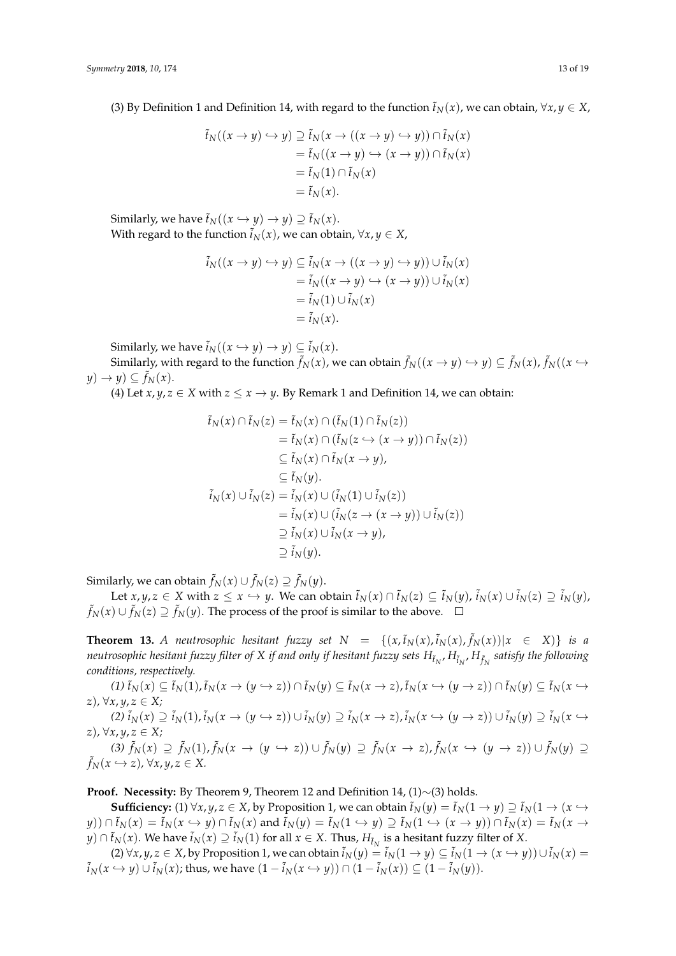(3) By Definition 1 and Definition 14, with regard to the function  $\tilde{t}_N(x)$ , we can obtain,  $\forall x, y \in X$ ,

$$
\tilde{t}_N((x \to y) \hookrightarrow y) \supseteq \tilde{t}_N(x \to ((x \to y) \hookrightarrow y)) \cap \tilde{t}_N(x)
$$
  
=  $\tilde{t}_N((x \to y) \hookrightarrow (x \to y)) \cap \tilde{t}_N(x)$   
=  $\tilde{t}_N(1) \cap \tilde{t}_N(x)$   
=  $\tilde{t}_N(x)$ .

Similarly, we have  $\tilde{t}_N((x \hookrightarrow y) \rightarrow y) \supseteq \tilde{t}_N(x)$ . With regard to the function  $\tilde{i}_N(x)$ , we can obtain,  $\forall x, y \in X$ ,

$$
\tilde{i}_N((x \to y) \hookrightarrow y) \subseteq \tilde{i}_N(x \to ((x \to y) \hookrightarrow y)) \cup \tilde{i}_N(x)
$$
  
=  $\tilde{i}_N((x \to y) \to (x \to y)) \cup \tilde{i}_N(x)$   
=  $\tilde{i}_N(1) \cup \tilde{i}_N(x)$   
=  $\tilde{i}_N(x)$ .

Similarly, we have  $\tilde{i}_N((x \hookrightarrow y) \rightarrow y) \subseteq \tilde{i}_N(x)$ .

Similarly, with regard to the function  $\tilde{f}_N(x)$ , we can obtain  $\tilde{f}_N((x\to y)\hookrightarrow y)\subseteq \tilde{f}_N(x)$ ,  $\tilde{f}_N((x\to y))$  $y) \rightarrow y$ )  $\subseteq \tilde{f}_N(x)$ .

(4) Let *x*, *y*, *z*  $\in$  *X* with *z*  $\le$  *x*  $\rightarrow$  *y*. By Remark 1 and Definition 14, we can obtain:

$$
\tilde{t}_N(x) \cap \tilde{t}_N(z) = \tilde{t}_N(x) \cap (\tilde{t}_N(1) \cap \tilde{t}_N(z)) \n= \tilde{t}_N(x) \cap (\tilde{t}_N(z \to (x \to y)) \cap \tilde{t}_N(z)) \n\subseteq \tilde{t}_N(x) \cap \tilde{t}_N(x \to y), \n\subseteq \tilde{t}_N(y).
$$
\n
$$
\tilde{i}_N(x) \cup \tilde{i}_N(z) = \tilde{i}_N(x) \cup (\tilde{i}_N(1) \cup \tilde{i}_N(z)) \n= \tilde{i}_N(x) \cup (\tilde{i}_N(z \to (x \to y)) \cup \tilde{i}_N(z)) \n\supseteq \tilde{i}_N(x) \cup \tilde{i}_N(x \to y), \n\supseteq \tilde{i}_N(y).
$$

 $\text{Similarly, we can obtain } \tilde{f}_N(x) \cup \tilde{f}_N(z) \supseteq \tilde{f}_N(y).$ 

Let  $x,y,z\in X$  with  $z\leq x\hookrightarrow y$ . We can obtain  $\tilde{t}_N(x)\cap \tilde{t}_N(z)\subseteq \tilde{t}_N(y)$ ,  $\tilde{i}_N(x)\cup \tilde{i}_N(z)\supseteq \tilde{i}_N(y)$ ,  $\tilde{f}_N(x) \cup \tilde{f}_N(z) \supseteq \tilde{f}_N(y).$  The process of the proof is similar to the above.

**Theorem 13.** A neutrosophic hesitant fuzzy set  $N = \{(x, \tilde{t}_N(x), \tilde{t}_N(x), \tilde{f}_N(x)) | x \in X \}$  is a *neutrosophic hesitant fuzzy filter of X if and only if hesitant fuzzy sets H*˜*t<sup>N</sup>* , *H*˜*i<sup>N</sup>* , *H* ˜ *fN satisfy the following conditions, respectively.*

 $(1) \tilde{t}_N(x) \subseteq \tilde{t}_N(1)$ ,  $\tilde{t}_N(x \to (y \hookrightarrow z)) \cap \tilde{t}_N(y) \subseteq \tilde{t}_N(x \to z)$ ,  $\tilde{t}_N(x \hookrightarrow (y \to z)) \cap \tilde{t}_N(y) \subseteq \tilde{t}_N(x \hookrightarrow z)$ *z*)*,* ∀*x*, *y*, *z* ∈ *X;*  $(2)\tilde{i}_N(x) \supseteq \tilde{i}_N(1)$ ,  $\tilde{i}_N(x \to (y \hookrightarrow z)) \cup \tilde{i}_N(y) \supseteq \tilde{i}_N(x \to z)$ ,  $\tilde{i}_N(x \hookrightarrow (y \to z)) \cup \tilde{i}_N(y) \supseteq \tilde{i}_N(x \hookrightarrow z)$ *z*)*,* ∀*x*, *y*, *z* ∈ *X;* (3)  $\tilde{f}_N(x) \supseteq \tilde{f}_N(1)$ ,  $\tilde{f}_N(x \to (y \hookrightarrow z)) \cup \tilde{f}_N(y) \supseteq \tilde{f}_N(x \to z)$ ,  $\tilde{f}_N(x \hookrightarrow (y \to z)) \cup \tilde{f}_N(y) \supseteq$  $\tilde{f}_N(x \hookrightarrow z)$ ,  $\forall x, y, z \in X$ .

**Proof. Necessity:** By Theorem 9, Theorem 12 and Definition 14, (1)∼(3) holds.

**Sufficiency:** (1)  $\forall x, y, z \in X$ , by Proposition 1, we can obtain  $\tilde{t}_N(y) = \tilde{t}_N(1 \to y) \supseteq \tilde{t}_N(1 \to (x \to y))$  $(y)$ )  $\cap$   $\tilde{t}_N(x) = \tilde{t}_N(x \hookrightarrow y) \cap \tilde{t}_N(x)$  and  $\tilde{t}_N(y) = \tilde{t}_N(1 \hookrightarrow y) \supseteq \tilde{t}_N(1 \hookrightarrow (x \to y)) \cap \tilde{t}_N(x) = \tilde{t}_N(x \to y)$ *y*)∩ $\tilde{t}_N(x)$ . We have  $\tilde{i}_N(x) \supseteq \tilde{i}_N(1)$  for all  $x \in X$ . Thus,  $H_{\tilde{t}_N}$  is a hesitant fuzzy filter of *X*.

(2) ∀*x*, *y*, *z* ∈ *X*, by Proposition 1, we can obtain  $\tilde{i}_N(y) = \tilde{i}_N(1 \to y) \subseteq \tilde{i}_N(1 \to (x \to y)) \cup \tilde{i}_N(x) =$  $\tilde{i}_N(x \hookrightarrow y) \cup \tilde{i}_N(x)$ ; thus, we have  $(1 - \tilde{i}_N(x \hookrightarrow y)) \cap (1 - \tilde{i}_N(x)) \subseteq (1 - \tilde{i}_N(y))$ .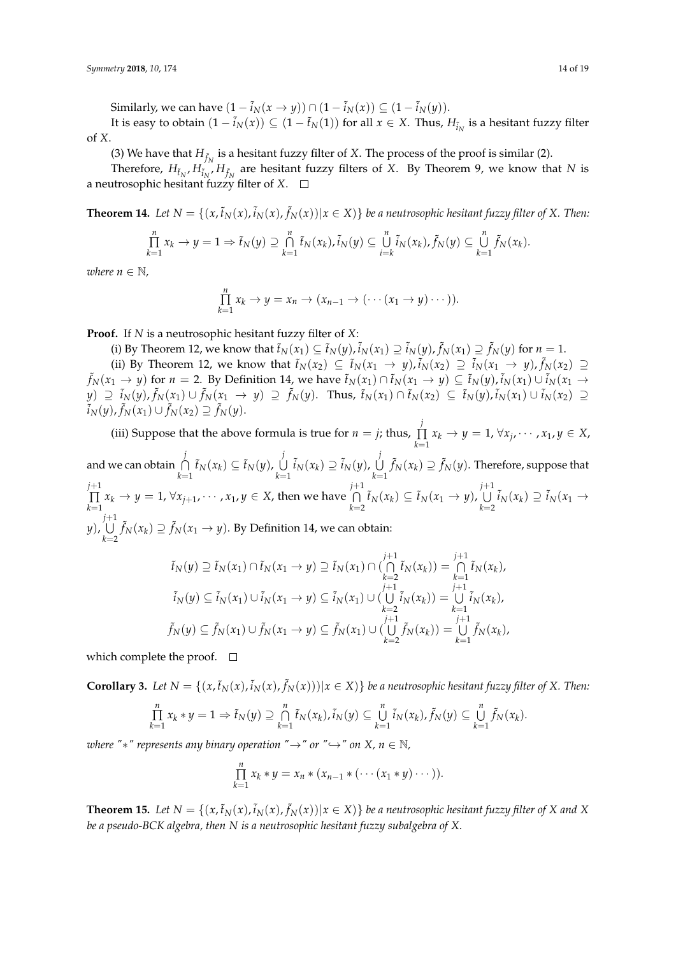Similarly, we can have  $(1 - \tilde{i}_N(x \rightarrow y))$  ∩  $(1 - \tilde{i}_N(x))$  ⊆  $(1 - \tilde{i}_N(y))$ .

It is easy to obtain  $(1 - \tilde{i}_N(x)) \subseteq (1 - \tilde{t}_N(1))$  for all  $x \in X$ . Thus,  $H_{\tilde{i}_N}$  is a hesitant fuzzy filter of *X*.

(3) We have that  $H_{\tilde{f}_N}$  is a hesitant fuzzy filter of *X*. The process of the proof is similar (2).

Therefore,  $H_{\tilde{t}_N}, H_{\tilde{f}_N}$  *H* $_{\tilde{f}_N}$  are hesitant fuzzy filters of *X*. By Theorem 9, we know that *N* is a neutrosophic hesitant fuzzy filter of *X*.

**Theorem 14.** Let  $N = \{(x,\tilde{t}_N(x),\tilde{t}_N(x),\tilde{f}_N(x))|x \in X)\}$  be a neutrosophic hesitant fuzzy filter of X. Then:

$$
\prod_{k=1}^n x_k \to y = 1 \Rightarrow \tilde{t}_N(y) \supseteq \bigcap_{k=1}^n \tilde{t}_N(x_k), \tilde{t}_N(y) \subseteq \bigcup_{i=k}^n \tilde{t}_N(x_k), \tilde{f}_N(y) \subseteq \bigcup_{k=1}^n \tilde{f}_N(x_k).
$$

*where*  $n \in \mathbb{N}$ *,* 

$$
\prod_{k=1}^n x_k \to y = x_n \to (x_{n-1} \to (\cdots (x_1 \to y) \cdots)).
$$

**Proof.** If *N* is a neutrosophic hesitant fuzzy filter of *X*:

(i) By Theorem 12, we know that  $\tilde{t}_N(x_1) \subseteq \tilde{t}_N(y)$ ,  $\tilde{i}_N(x_1) \supseteq \tilde{i}_N(y)$ ,  $\tilde{f}_N(x_1) \supseteq \tilde{f}_N(y)$  for  $n = 1$ .

(ii) By Theorem 12, we know that  $ilde{t}_N(x_2) \subseteq \tilde{t}_N(x_1 \to y)$ ,  $\tilde{i}_N(x_2) \supseteq \tilde{i}_N(x_1 \to y)$ ,  $\tilde{f}_N(x_2) \supseteq$  $\tilde{f}_N(x_1\to y)$  for  $n=2$ . By Definition 14, we have  $\tilde{t}_N(x_1)\cap \tilde{t}_N(x_1\to y)\subseteq \tilde{t}_N(y)$ ,  $\tilde{i}_N(x_1)\cup \tilde{i}_N(x_1\to y)$  $\tilde{f}_N(y) \supseteq \tilde{i}_N(y)$ ,  $\tilde{f}_N(x_1) \cup \tilde{f}_N(x_1 \to y) \supseteq \tilde{f}_N(y)$ . Thus,  $\tilde{t}_N(x_1) \cap \tilde{t}_N(x_2) \subseteq \tilde{t}_N(y)$ ,  $\tilde{i}_N(x_1) \cup \tilde{i}_N(x_2) \supseteq \tilde{t}_N(y)$  $\tilde{f}_N(y)$ ,  $\tilde{f}_N(x_1) \cup \tilde{f}_N(x_2) \supseteq \tilde{f}_N(y)$ .

(iii) Suppose that the above formula is true for  $n = j$ ; thus,  $\int$ ∏ *k*=1 *xk* → *y* = 1,  $\forall x_j$ , · · · , *x*<sub>1</sub>, *y* ∈ *X*, and we can obtain  $\ \cap$ *j*  $\bigcap_{k=1}^{\hat{I}} \tilde{t}_N(x_k) \subseteq \tilde{t}_N(y)$ ,  $\bigcup_{k=1}^{\hat{I}}$ *j*  $\bigcup_{k=1}^{j} \tilde{i}_N(x_k) \supseteq \tilde{i}_N(y)$ ,  $\bigcup_{k=1}^{j}$ *j k*=1  $\tilde{f}_N(x_k) \supseteq \tilde{f}_N(y).$  Therefore, suppose that *j*+1 ∏  $\prod\limits_{k=1}^{j+1} x_k \rightarrow y = 1$ ,  $\forall x_{j+1}, \cdots, x_1, y \in X$ , then we have  $\prod\limits_{k=1}^{j} x_k$ N  $+1$  $\bigcap_{k=2}^{j+1} \tilde{t}_N(x_k) \subseteq \tilde{t}_N(x_1 \to y)$ ,  $\bigcap_{k=2}^{j}$ U  $+1$  $\bigcup_{k=2}^{7} \tilde{i}_N(x_k) \supseteq \tilde{i}_N(x_1 \rightarrow$ *y*), *j* U +1 *k*=2  $\tilde{f}_N(x_k) \supseteq \tilde{f}_N(x_1 \to y)$ . By Definition 14, we can obtain:  $\tilde{t}_N(y) \supseteq \tilde{t}_N(x_1) \cap \tilde{t}_N(x_1 \rightarrow y) \supseteq \tilde{t}_N(x_1) \cap \tilde{t}_N(x_2)$  $\cap$  $\bigcap_{i=1}^{j+1} \tilde{t}_N(x_k) = \int_{i}^{j}$  $\cap$  $\bigcap_{k=1}^{k+1}$   $\tilde{t}_N(x_k)$ 

$$
i_N(y) \supseteq i_N(x_1) \cup i_N(x_1 \to y) \supseteq i_N(x_1) \cup \{ \bigcup_{k=2}^{j+1} i_N(x_k) \} = \bigcup_{k=1}^{j+1} i_N(x_k),
$$
  
\n
$$
i_N(y) \subseteq i_N(x_1) \cup i_N(x_1 \to y) \subseteq i_N(x_1) \cup \bigcup_{k=2}^{j+1} i_N(x_k) \big) = \bigcup_{k=1}^{j+1} i_N(x_k),
$$
  
\n
$$
f_N(y) \subseteq f_N(x_1) \cup f_N(x_1 \to y) \subseteq f_N(x_1) \cup \bigcup_{k=2}^{j+1} f_N(x_k) \big) = \bigcup_{k=1}^{j+1} f_N(x_k),
$$

which complete the proof.  $\square$ 

**Corollary 3.** Let  $N = \{(x, \tilde{t}_N(x), \tilde{t}_N(x), \tilde{f}_N(x)) | x \in X)\}$  be a neutrosophic hesitant fuzzy filter of X. Then:

$$
\prod_{k=1}^n x_k \ast y = 1 \Rightarrow \tilde{t}_N(y) \supseteq \bigcap_{k=1}^n \tilde{t}_N(x_k), \tilde{i}_N(y) \subseteq \bigcup_{k=1}^n \tilde{i}_N(x_k), \tilde{f}_N(y) \subseteq \bigcup_{k=1}^n \tilde{f}_N(x_k).
$$

*where "* $*$ " *represents any binary operation "* $\rightarrow$ " *or "* $\hookrightarrow$ " *on X, n*  $\in$  N,

$$
\prod_{k=1}^n x_k * y = x_n * (x_{n-1} * ( \cdots (x_1 * y) \cdots ) ).
$$

**Theorem 15.** Let  $N = \{(x,\tilde{t}_N(x),\tilde{t}_N(x),\tilde{f}_N(x))|x\in X)\}$  be a neutrosophic hesitant fuzzy filter of X and X *be a pseudo-BCK algebra, then N is a neutrosophic hesitant fuzzy subalgebra of X.*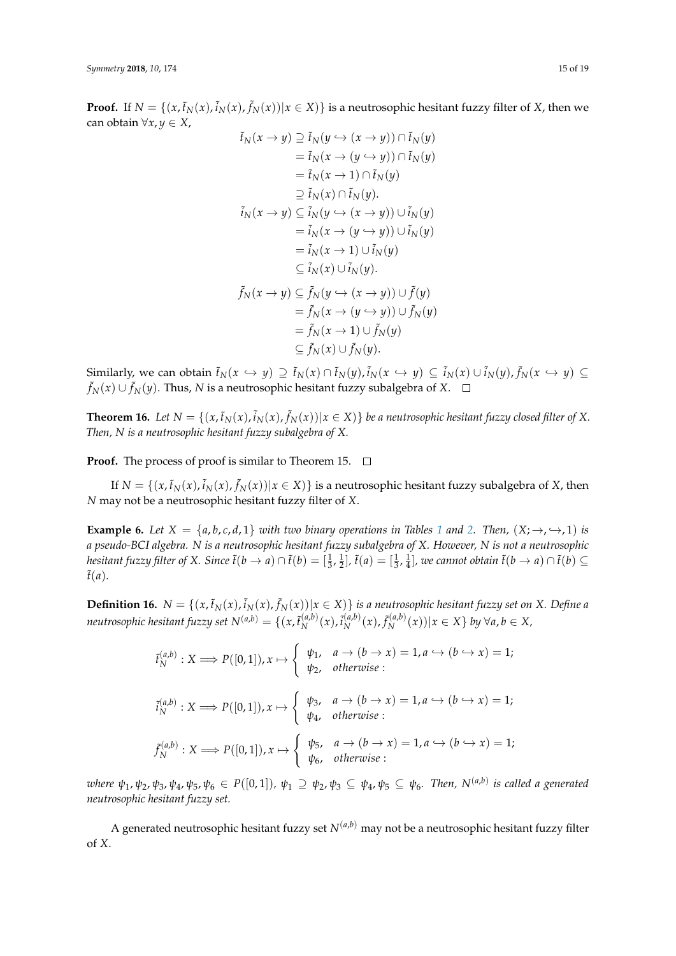**Proof.** If  $N = \{(x, \tilde{t}_N(x), \tilde{t}_N(x)) | x \in X\}$  is a neutrosophic hesitant fuzzy filter of *X*, then we can obtain ∀*x*, *y* ∈ *X*, ˜*tN*(*x* → *y*) ⊇ ˜*tN*(*y* ,→ (*x* → *y*)) ∩ ˜*tN*(*y*)

$$
t_N(x \to y) \supseteq t_N(y \hookrightarrow (x \to y)) \cap t_N(y)
$$
  
\n
$$
= \tilde{t}_N(x \to (y \hookrightarrow y)) \cap \tilde{t}_N(y)
$$
  
\n
$$
\supseteq \tilde{t}_N(x \to 1) \cap \tilde{t}_N(y)
$$
  
\n
$$
\supseteq \tilde{t}_N(x) \cap \tilde{t}_N(y).
$$
  
\n
$$
\tilde{i}_N(x \to y) \subseteq \tilde{i}_N(y \hookrightarrow (x \to y)) \cup \tilde{i}_N(y)
$$
  
\n
$$
= \tilde{i}_N(x \to (y \hookrightarrow y)) \cup \tilde{i}_N(y)
$$
  
\n
$$
= \tilde{i}_N(x \to 1) \cup \tilde{i}_N(y).
$$
  
\n
$$
\tilde{f}_N(x \to y) \subseteq \tilde{f}_N(y \to (x \to y)) \cup \tilde{f}(y)
$$
  
\n
$$
= \tilde{f}_N(x \to (y \to y)) \cup \tilde{f}_N(y)
$$
  
\n
$$
= \tilde{f}_N(x \to 1) \cup \tilde{f}_N(y)
$$
  
\n
$$
\subseteq \tilde{f}_N(x) \cup \tilde{f}_N(y).
$$

Similarly, we can obtain  $\tilde{t}_N(x\hookrightarrow y)\supseteq \tilde{t}_N(x)\cap \tilde{t}_N(y)$ ,  $\tilde{i}_N(x\hookrightarrow y)\subseteq \tilde{i}_N(x)\cup \tilde{i}_N(y)$ ,  $\tilde{f}_N(x\hookrightarrow y)\subseteq$ ˜ *fN*(*x*) ∪ ˜ *fN*(*y*). Thus, *N* is a neutrosophic hesitant fuzzy subalgebra of *X*.

**Theorem 16.** Let  $N = \{(x, \tilde{t}_N(x), \tilde{t}_N(x), \tilde{f}_N(x)) | x \in X)\}$  be a neutrosophic hesitant fuzzy closed filter of X. *Then, N is a neutrosophic hesitant fuzzy subalgebra of X.*

**Proof.** The process of proof is similar to Theorem 15.  $\Box$ 

If  $N = \{(x, \tilde{t}_N(x), \tilde{i}_N(x), \tilde{f}_N(x)) | x \in X)\}$  is a neutrosophic hesitant fuzzy subalgebra of *X*, then *N* may not be a neutrosophic hesitant fuzzy filter of *X*.

**Example 6.** *Let*  $X = \{a, b, c, d, 1\}$  $X = \{a, b, c, d, 1\}$  $X = \{a, b, c, d, 1\}$  *with two binary operations in Tables* 1 *and* [2.](#page-3-2) *Then,*  $(X; \rightarrow, \rightarrow, 1)$  *is a pseudo-BCI algebra. N is a neutrosophic hesitant fuzzy subalgebra of X. However, N is not a neutrosophic* hesitant fuzzy filter of X. Since  $\tilde{t}(b\to a)\cap \tilde{t}(b)=[\frac{1}{3},\frac{1}{2}], \tilde{t}(a)=[\frac{1}{3},\frac{1}{4}],$  we cannot obtain  $\tilde{t}(b\to a)\cap \tilde{t}(b)\subseteq$  $ilde{t}(a)$ .

**Definition 16.**  $N = \{(x, \tilde{t}_N(x), \tilde{t}_N(x), \tilde{f}_N(x)) | x \in X \}$  is a neutrosophic hesitant fuzzy set on X. Define a *neutrosophic hesitant fuzzy set*  $N^{(a,b)} = \{(x, \tilde{t}_N^{(a,b)}\})$  $\tilde{i}_{N}^{(a,b)}(x)$ ,  $\tilde{i}_{N}^{(a,b)}$  $\tilde{f}_N^{(a,b)}(x)$ ,  $\tilde{f}_N^{(a,b)}$  $\int_{N}^{(a,b)}(x)$ )| $x \in X$ } *by* ∀*a*, *b* ∈ *X*,

$$
\tilde{t}_{N}^{(a,b)}: X \Longrightarrow P([0,1]), x \mapsto \begin{cases} \psi_{1}, & a \to (b \to x) = 1, a \hookrightarrow (b \to x) = 1; \\ \psi_{2}, & \text{otherwise} \end{cases}
$$

$$
\tilde{t}_{N}^{(a,b)}: X \Longrightarrow P([0,1]), x \mapsto \begin{cases} \psi_{3}, & a \to (b \to x) = 1, a \hookrightarrow (b \to x) = 1; \\ \psi_{4}, & \text{otherwise} \end{cases}
$$

$$
\tilde{f}_{N}^{(a,b)}: X \Longrightarrow P([0,1]), x \mapsto \begin{cases} \psi_{5}, & a \to (b \to x) = 1, a \hookrightarrow (b \to x) = 1; \\ \psi_{6}, & \text{otherwise} \end{cases}
$$

where  $\psi_1$ ,  $\psi_2$ ,  $\psi_3$ ,  $\psi_4$ ,  $\psi_5$ ,  $\psi_6\in P([0,1])$ ,  $\psi_1\supseteq\psi_2$ ,  $\psi_3\subseteq\psi_4$ ,  $\psi_5\subseteq\psi_6$ . Then,  $N^{(a,b)}$  is called a generated *neutrosophic hesitant fuzzy set.*

A generated neutrosophic hesitant fuzzy set  $N^{(a,b)}$  may not be a neutrosophic hesitant fuzzy filter of *X*.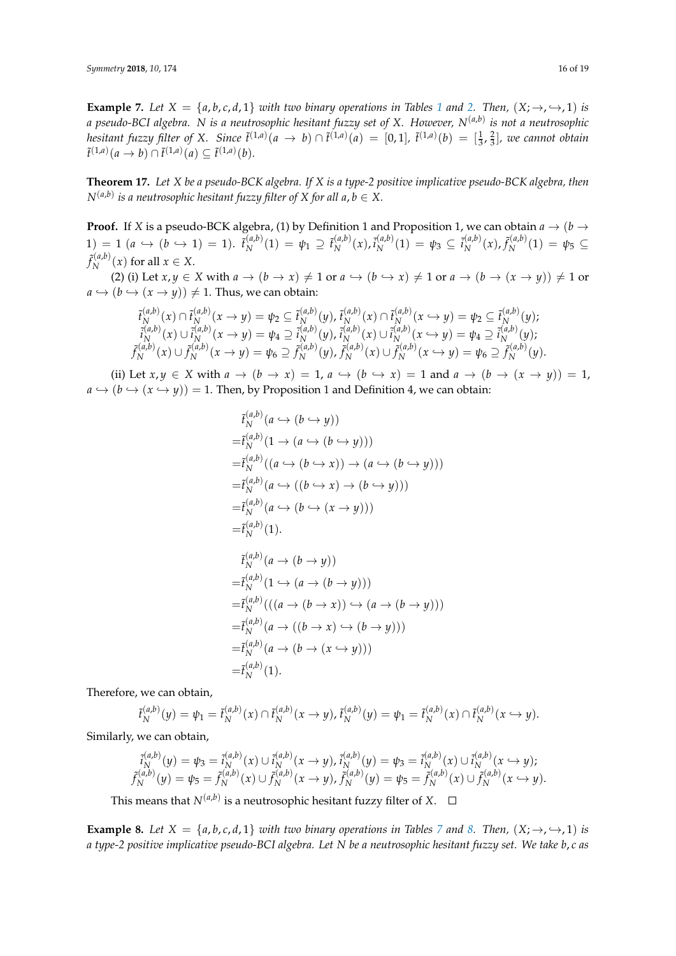**Example 7.** Let  $X = \{a, b, c, d, 1\}$  $X = \{a, b, c, d, 1\}$  $X = \{a, b, c, d, 1\}$  *with two binary operations in Tables* 1 *and* [2.](#page-3-2) *Then,*  $(X; \rightarrow, \rightarrow, 1)$  *is a pseudo-BCI algebra. N is a neutrosophic hesitant fuzzy set of X. However, N*(*a*,*b*) *is not a neutrosophic hesitant fuzzy filter of X.* Since  $\tilde{t}^{(1,a)}(a \to b) \cap \tilde{t}^{(1,a)}(a) = [0,1]$ ,  $\tilde{t}^{(1,a)}(b) = [\frac{1}{3}, \frac{2}{3}]$ , we cannot obtain  $\tilde{t}^{(1,a)}(a \to b) \cap \tilde{t}^{(1,a)}(a) \subseteq \tilde{t}^{(1,a)}(b).$ 

**Theorem 17.** *Let X be a pseudo-BCK algebra. If X is a type-2 positive implicative pseudo-BCK algebra, then*  $N^{(a,b)}$  is a neutrosophic hesitant fuzzy filter of X for all a,  $b\in X.$ 

**Proof.** If *X* is a pseudo-BCK algebra, (1) by Definition 1 and Proposition 1, we can obtain  $a \rightarrow (b \rightarrow b)$  $1) = 1$   $(a \hookrightarrow (b \hookrightarrow 1) = 1)$ .  $\tilde{t}_N^{(a,b)}$  $\chi^{(a,b)}(1) = \psi_1 \supseteq \tilde{t}_N^{(a,b)}$  $N^{(a,b)}(x)$ ,  $\tilde{i}_{N}^{(a,b)}$  $N^{(a,b)}(1) = \psi_3 \subseteq \tilde{i}_N^{(a,b)}$  $f_N^{(a,b)}(x)$ ,  $f_N^{(a,b)}$  $\frac{\psi(u,v)}{N}(1) = \psi_5 \subseteq$  $\tilde{f}_{N}^{(a,b)}$  $\chi_N^{(u,v)}(x)$  for all  $x \in X$ .

(2) (i) Let  $x, y \in X$  with  $a \to (b \to x) \neq 1$  or  $a \to (b \to x) \neq 1$  or  $a \to (b \to (x \to y)) \neq 1$  or  $a \hookrightarrow (b \hookrightarrow (x \rightarrow y)) \neq 1$ . Thus, we can obtain:

$$
\begin{aligned}\n\tilde{t}_{N}^{(a,b)}(x) \cap \tilde{t}_{N}^{(a,b)}(x \to y) &= \psi_{2} \subseteq \tilde{t}_{N}^{(a,b)}(y), \\
\tilde{t}_{N}^{(a,b)}(x) \cup \tilde{t}_{N}^{(a,b)}(x \to y) &= \psi_{4} \supseteq \tilde{t}_{N}^{(a,b)}(y), \\
\tilde{t}_{N}^{(a,b)}(x) \cup \tilde{t}_{N}^{(a,b)}(x \to y) &= \psi_{4} \supseteq \tilde{t}_{N}^{(a,b)}(y), \\
\tilde{t}_{N}^{(a,b)}(x) \cup \tilde{t}_{N}^{(a,b)}(x \to y) &= \psi_{5} \supseteq \tilde{t}_{N}^{(a,b)}(y), \\
\tilde{t}_{N}^{(a,b)}(x) \cup \tilde{t}_{N}^{(a,b)}(x \to y) &= \psi_{6} \supseteq \tilde{t}_{N}^{(a,b)}(y), \\
\tilde{t}_{N}^{(a,b)}(x) \cup \tilde{t}_{N}^{(a,b)}(x \to y) &= \psi_{6} \supseteq \tilde{t}_{N}^{(a,b)}(y).\n\end{aligned}
$$

(ii) Let  $x, y \in X$  with  $a \to (b \to x) = 1$ ,  $a \leftrightarrow (b \to x) = 1$  and  $a \to (b \to (x \to y)) = 1$ ,  $a \hookrightarrow (b \hookrightarrow (x \hookrightarrow y)) = 1$ . Then, by Proposition 1 and Definition 4, we can obtain:

$$
\tilde{t}_{N}^{(a,b)}(a \hookrightarrow (b \hookrightarrow y))
$$
\n
$$
= \tilde{t}_{N}^{(a,b)}(1 \to (a \hookrightarrow (b \hookrightarrow y)))
$$
\n
$$
= \tilde{t}_{N}^{(a,b)}((a \hookrightarrow (b \hookrightarrow x)) \to (a \hookrightarrow (b \hookrightarrow y)))
$$
\n
$$
= \tilde{t}_{N}^{(a,b)}(a \hookrightarrow ((b \hookrightarrow x) \to (b \hookrightarrow y)))
$$
\n
$$
= \tilde{t}_{N}^{(a,b)}(a \hookrightarrow (b \hookrightarrow (x \to y)))
$$
\n
$$
= \tilde{t}_{N}^{(a,b)}(1).
$$

$$
\tilde{t}_{N}^{(a,b)}(a \to (b \to y))
$$
\n
$$
= \tilde{t}_{N}^{(a,b)}(1 \to (a \to (b \to y)))
$$
\n
$$
= \tilde{t}_{N}^{(a,b)}(((a \to (b \to x)) \to (a \to (b \to y))))
$$
\n
$$
= \tilde{t}_{N}^{(a,b)}(a \to ((b \to x) \to (b \to y))))
$$
\n
$$
= \tilde{t}_{N}^{(a,b)}(a \to (b \to (x \to y)))
$$
\n
$$
= \tilde{t}_{N}^{(a,b)}(1).
$$

Therefore, we can obtain,

$$
\tilde{t}_{N}^{(a,b)}(y) = \psi_1 = \tilde{t}_{N}^{(a,b)}(x) \cap \tilde{t}_{N}^{(a,b)}(x \to y), \tilde{t}_{N}^{(a,b)}(y) = \psi_1 = \tilde{t}_{N}^{(a,b)}(x) \cap \tilde{t}_{N}^{(a,b)}(x \hookrightarrow y).
$$

Similarly, we can obtain,

$$
\tilde{i}_N^{(a,b)}(y) = \psi_3 = \tilde{i}_N^{(a,b)}(x) \cup \tilde{i}_N^{(a,b)}(x \to y), \tilde{i}_N^{(a,b)}(y) = \psi_3 = \tilde{i}_N^{(a,b)}(x) \cup \tilde{i}_N^{(a,b)}(x \to y); \n\tilde{f}_N^{(a,b)}(y) = \psi_5 = \tilde{f}_N^{(a,b)}(x) \cup \tilde{f}_N^{(a,b)}(x \to y), \tilde{f}_N^{(a,b)}(y) = \psi_5 = \tilde{f}_N^{(a,b)}(x) \cup \tilde{f}_N^{(a,b)}(x \to y).
$$

This means that  $N^{(a,b)}$  is a neutrosophic hesitant fuzzy filter of  $X$ .

**Example [8.](#page-16-1)** Let  $X = \{a, b, c, d, 1\}$  *with two binary operations in Tables* [7](#page-16-0) *and* 8. Then,  $(X; \rightarrow, \rightarrow, 1)$  *is a type-2 positive implicative pseudo-BCI algebra. Let N be a neutrosophic hesitant fuzzy set. We take b*, *c as*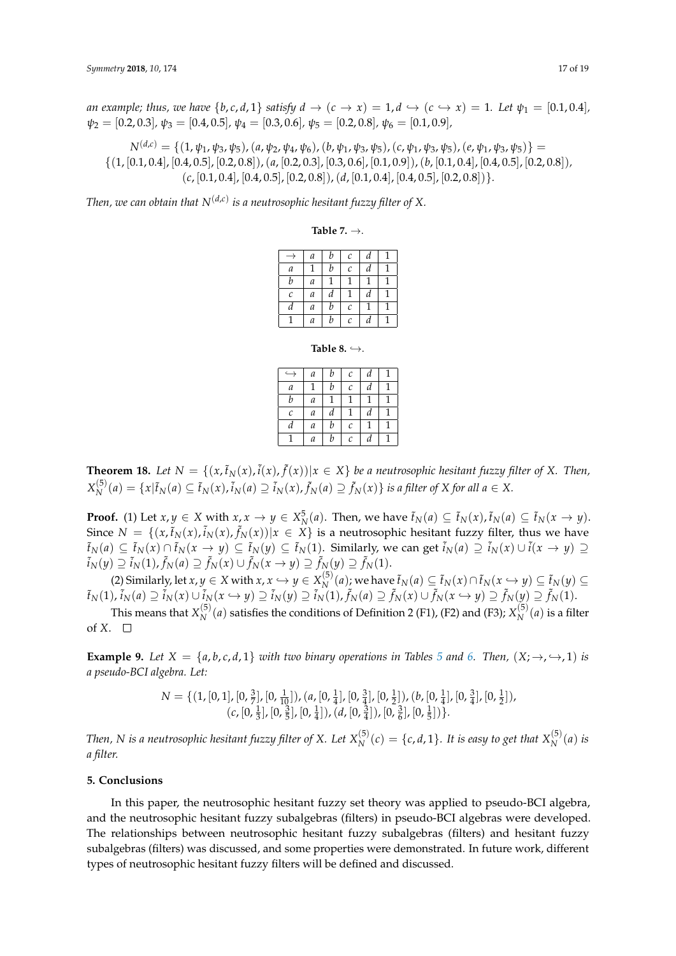*an example; thus, we have*  $\{b, c, d, 1\}$  *satisfy*  $d \rightarrow (c \rightarrow x) = 1, d \rightarrow (c \rightarrow x) = 1$ *. Let*  $\psi_1 = [0.1, 0.4]$ *,*  $\psi_2 = [0.2, 0.3], \psi_3 = [0.4, 0.5], \psi_4 = [0.3, 0.6], \psi_5 = [0.2, 0.8], \psi_6 = [0.1, 0.9]$ 

 $N^{(d,c)} = \{(1, \psi_1, \psi_3, \psi_5), (a, \psi_2, \psi_4, \psi_6), (b, \psi_1, \psi_3, \psi_5), (c, \psi_1, \psi_3, \psi_5), (e, \psi_1, \psi_3, \psi_5)\} =$ {(1, [0.1, 0.4], [0.4, 0.5], [0.2, 0.8]),(*a*, [0.2, 0.3], [0.3, 0.6], [0.1, 0.9]),(*b*, [0.1, 0.4], [0.4, 0.5], [0.2, 0.8])*,* (*c*, [0.1, 0.4], [0.4, 0.5], [0.2, 0.8]),(*d*, [0.1, 0.4], [0.4, 0.5], [0.2, 0.8])}*.*

<span id="page-16-0"></span>Then, we can obtain that  $N^{(d,c)}$  is a neutrosophic hesitant fuzzy filter of X.

**Table 7.** →.

|                       | а                | b | C                       | d |  |
|-----------------------|------------------|---|-------------------------|---|--|
| а                     | 1                | b | C                       | d |  |
| b                     | а                |   |                         |   |  |
| $\mathcal{C}_{0}^{2}$ | $\boldsymbol{a}$ | d | 1                       | d |  |
| d                     | a                | b | $\mathcal{C}_{0}^{2}$   | 1 |  |
|                       | $\boldsymbol{a}$ | b | $\mathcal{C}_{0}^{(n)}$ | d |  |

**Table 8.**  $\hookrightarrow$ .

|                       | а | b | $\mathcal C$ | d | 1 |
|-----------------------|---|---|--------------|---|---|
| a                     |   | b | $\mathcal C$ | d | 1 |
| b                     | а |   |              |   |   |
| $\mathcal{C}_{0}^{2}$ | а | d |              | d | 1 |
| d                     | а | b | $\mathcal C$ |   | 1 |
|                       | а | b | С            | d |   |

<span id="page-16-1"></span>**Theorem 18.** Let  $N = \{(x, \tilde{t}_N(x), \tilde{t}(x), \tilde{f}(x)) | x \in X\}$  be a neutrosophic hesitant fuzzy filter of X. Then,  $X_N^{(5)}$  $\tilde{f}_N^{(5)}(a) = \{x | \tilde{f}_N(a) \subseteq \tilde{f}_N(x), \tilde{i}_N(a) \supseteq \tilde{i}_N(x), \tilde{f}_N(a) \supseteq \tilde{f}_N(x)\}$  is a filter of X for all  $a \in X$ .

**Proof.** (1) Let  $x, y \in X$  with  $x, x \to y \in X_N^5(a)$ . Then, we have  $\tilde{t}_N(a) \subseteq \tilde{t}_N(x)$ ,  $\tilde{t}_N(a) \subseteq \tilde{t}_N(x \to y)$ . Since  $N = \{(x, \tilde{t}_N(x), \tilde{i}_N(x), \tilde{f}_N(x)) | x \in X \}$  is a neutrosophic hesitant fuzzy filter, thus we have  $\tilde{t}_N(a) \subseteq \tilde{t}_N(x) \cap \tilde{t}_N(x \to y) \subseteq \tilde{t}_N(y) \subseteq \tilde{t}_N(1)$ . Similarly, we can get  $\tilde{t}_N(a) \supseteq \tilde{t}_N(x) \cup \tilde{t}(x \to y) \supseteq$  $\tilde{i}_N(y) \supseteq \tilde{i}_N(1)$ ,  $\tilde{f}_N(a) \supseteq \tilde{f}_N(x) \cup \tilde{f}_N(x \to y) \supseteq \tilde{f}_N(y) \supseteq \tilde{f}_N(1)$ .

(2) Similarly, let  $x, y \in X$  with  $x, x \hookrightarrow y \in X_N^{(5)}$ *N*<sup>(3)</sup>(*a*); we have  $\tilde{t}_N(a) ⊆ \tilde{t}_N(x) ∩ \tilde{t}_N(x → y) ⊆ \tilde{t}_N(y) ⊆$  $\tilde{t}_N(1)$ ,  $\tilde{i}_N(a)\supseteq \tilde{i}_N(x)\cup \tilde{i}_N(x\hookrightarrow y)\supseteq \tilde{i}_N(y)\supseteq \tilde{i}_N(1)$ ,  $\tilde{f}_N(a)\supseteq \tilde{f}_N(x)\cup \tilde{f}_N(x\hookrightarrow y)\supseteq \tilde{f}_N(y)\supseteq \tilde{f}_N(1)$ .

This means that  $X_{N}^{(5)}$  $N^{(5)}(a)$  satisfies the conditions of Definition 2 (F1), (F2) and (F3);  $X_N^{(5)}$  $\chi_N^{(3)}(a)$  is a filter of *X*.  $\square$ 

**Example 9.** Let  $X = \{a, b, c, d, 1\}$  *with two binary operations in Tables [5](#page-9-0) and [6.](#page-9-1) Then,*  $(X; \rightarrow, \rightarrow, 1)$  *is a pseudo-BCI algebra. Let:*

$$
N = \{ (1, [0, 1], [0, \frac{3}{7}], [0, \frac{1}{10}]), (a, [0, \frac{1}{4}], [0, \frac{3}{4}], [0, \frac{1}{2}]), (b, [0, \frac{1}{4}], [0, \frac{3}{4}], [0, \frac{1}{2}]), (c, [0, \frac{1}{3}], [0, \frac{3}{5}], [0, \frac{1}{4}]), (d, [0, \frac{3}{4}]), [0, \frac{3}{6}], [0, \frac{1}{5}]\} \}.
$$

*Then, N is a neutrosophic hesitant fuzzy filter of X. Let*  $X_{N}^{(5)}$  $N^{(5)}(c) = \{c, d, 1\}$ *. It is easy to get that*  $X_N^{(5)}$  $\binom{S}{N}$  *(a) is a filter.*

## **5. Conclusions**

In this paper, the neutrosophic hesitant fuzzy set theory was applied to pseudo-BCI algebra, and the neutrosophic hesitant fuzzy subalgebras (filters) in pseudo-BCI algebras were developed. The relationships between neutrosophic hesitant fuzzy subalgebras (filters) and hesitant fuzzy subalgebras (filters) was discussed, and some properties were demonstrated. In future work, different types of neutrosophic hesitant fuzzy filters will be defined and discussed.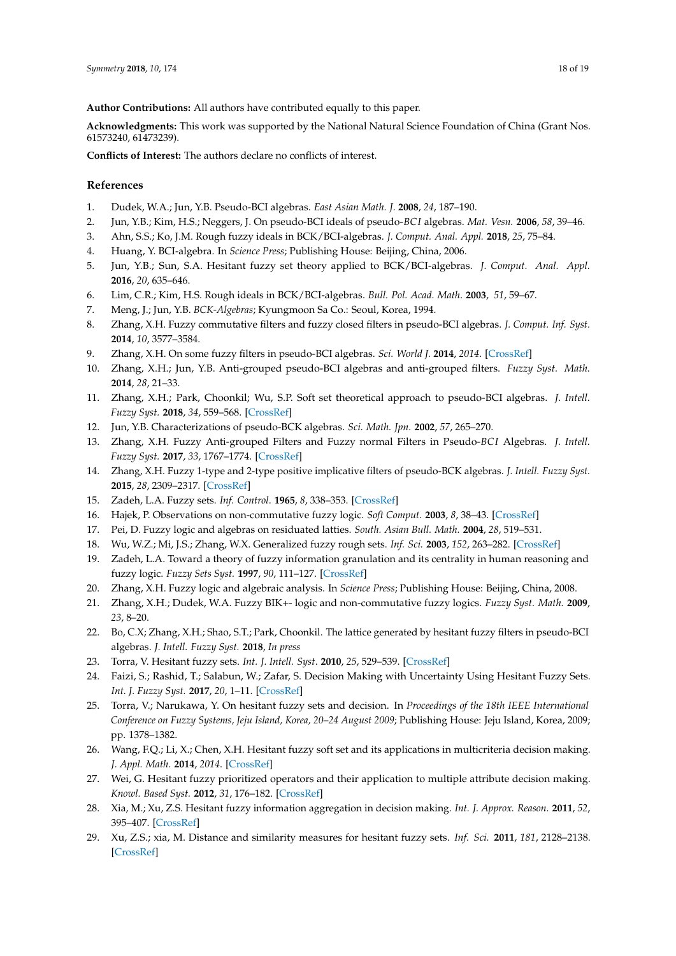**Author Contributions:** All authors have contributed equally to this paper.

**Acknowledgments:** This work was supported by the National Natural Science Foundation of China (Grant Nos. 61573240, 61473239).

**Conflicts of Interest:** The authors declare no conflicts of interest.

## **References**

- <span id="page-17-0"></span>1. Dudek, W.A.; Jun, Y.B. Pseudo-BCI algebras. *East Asian Math. J.* **2008**, *24*, 187–190.
- <span id="page-17-1"></span>2. Jun, Y.B.; Kim, H.S.; Neggers, J. On pseudo-BCI ideals of pseudo-*BC I* algebras. *Mat. Vesn.* **2006**, *58*, 39–46.
- <span id="page-17-2"></span>3. Ahn, S.S.; Ko, J.M. Rough fuzzy ideals in BCK/BCI-algebras. *J. Comput. Anal. Appl.* **2018**, *25*, 75–84.
- 4. Huang, Y. BCI-algebra. In *Science Press*; Publishing House: Beijing, China, 2006.
- 5. Jun, Y.B.; Sun, S.A. Hesitant fuzzy set theory applied to BCK/BCI-algebras. *J. Comput. Anal. Appl.* **2016**, *20*, 635–646.
- 6. Lim, C.R.; Kim, H.S. Rough ideals in BCK/BCI-algebras. *Bull. Pol. Acad. Math*. **2003**, *51*, 59–67.
- 7. Meng, J.; Jun, Y.B. *BCK-Algebras*; Kyungmoon Sa Co.: Seoul, Korea, 1994.
- 8. Zhang, X.H. Fuzzy commutative filters and fuzzy closed filters in pseudo-BCI algebras. *J. Comput. Inf. Syst.* **2014**, *10*, 3577–3584.
- 9. Zhang, X.H. On some fuzzy filters in pseudo-BCI algebras. *Sci. World J.* **2014**, *2014*. [\[CrossRef\]](http://dx.doi.org/10.1155/2014/718972)
- 10. Zhang, X.H.; Jun, Y.B. Anti-grouped pseudo-BCI algebras and anti-grouped filters. *Fuzzy Syst. Math.* **2014**, *28*, 21–33.
- 11. Zhang, X.H.; Park, Choonkil; Wu, S.P. Soft set theoretical approach to pseudo-BCI algebras. *J. Intell. Fuzzy Syst.* **2018**, *34*, 559–568. [\[CrossRef\]](http://dx.doi.org/10.3233/JIFS-17777)
- <span id="page-17-10"></span>12. Jun, Y.B. Characterizations of pseudo-BCK algebras. *Sci. Math. Jpn.* **2002**, *57*, 265–270.
- <span id="page-17-9"></span>13. Zhang, X.H. Fuzzy Anti-grouped Filters and Fuzzy normal Filters in Pseudo-*BC I* Algebras. *J. Intell. Fuzzy Syst.* **2017**, *33*, 1767–1774. [\[CrossRef\]](http://dx.doi.org/10.3233/JIFS-17006)
- <span id="page-17-3"></span>14. Zhang, X.H. Fuzzy 1-type and 2-type positive implicative filters of pseudo-BCK algebras. *J. Intell. Fuzzy Syst.* **2015**, *28*, 2309–2317. [\[CrossRef\]](http://dx.doi.org/10.3233/IFS-141514)
- <span id="page-17-4"></span>15. Zadeh, L.A. Fuzzy sets. *Inf. Control*. **1965**, *8*, 338–353. [\[CrossRef\]](http://dx.doi.org/10.1016/S0019-9958(65)90241-X)
- <span id="page-17-5"></span>16. Hajek, P. Observations on non-commutative fuzzy logic. *Soft Comput.* **2003**, *8*, 38–43. [\[CrossRef\]](http://dx.doi.org/10.1007/s00500-002-0246-y)
- 17. Pei, D. Fuzzy logic and algebras on residuated latties. *South. Asian Bull. Math.* **2004**, *28*, 519–531.
- 18. Wu, W.Z.; Mi, J.S.; Zhang, W.X. Generalized fuzzy rough sets. *Inf. Sci.* **2003**, *152*, 263–282. [\[CrossRef\]](http://dx.doi.org/10.1016/S0020-0255(02)00379-1)
- 19. Zadeh, L.A. Toward a theory of fuzzy information granulation and its centrality in human reasoning and fuzzy logic. *Fuzzy Sets Syst.* **1997**, *90*, 111–127. [\[CrossRef\]](http://dx.doi.org/10.1016/S0165-0114(97)00077-8)
- 20. Zhang, X.H. Fuzzy logic and algebraic analysis. In *Science Press*; Publishing House: Beijing, China, 2008.
- 21. Zhang, X.H.; Dudek, W.A. Fuzzy BIK+- logic and non-commutative fuzzy logics. *Fuzzy Syst. Math.* **2009**, *23*, 8–20.
- <span id="page-17-6"></span>22. Bo, C.X; Zhang, X.H.; Shao, S.T.; Park, Choonkil. The lattice generated by hesitant fuzzy filters in pseudo-BCI algebras. *J. Intell. Fuzzy Syst.* **2018**, *In press*
- <span id="page-17-7"></span>23. Torra, V. Hesitant fuzzy sets. *Int. J. Intell. Syst*. **2010**, *25*, 529–539. [\[CrossRef\]](http://dx.doi.org/10.1002/int.20418)
- <span id="page-17-8"></span>24. Faizi, S.; Rashid, T.; Salabun, W.; Zafar, S. Decision Making with Uncertainty Using Hesitant Fuzzy Sets. *Int. J. Fuzzy Syst.* **2017**, *20*, 1–11. [\[CrossRef\]](http://dx.doi.org/10.1007/s40815-017-0313-2)
- 25. Torra, V.; Narukawa, Y. On hesitant fuzzy sets and decision. In *Proceedings of the 18th IEEE International Conference on Fuzzy Systems, Jeju Island, Korea, 20–24 August 2009*; Publishing House: Jeju Island, Korea, 2009; pp. 1378–1382.
- 26. Wang, F.Q.; Li, X.; Chen, X.H. Hesitant fuzzy soft set and its applications in multicriteria decision making. *J. Appl. Math.* **2014**, *2014*. [\[CrossRef\]](http://dx.doi.org/10.1155/2014/643785)
- 27. Wei, G. Hesitant fuzzy prioritized operators and their application to multiple attribute decision making. *Knowl. Based Syst.* **2012**, *31*, 176–182. [\[CrossRef\]](http://dx.doi.org/10.1016/j.knosys.2012.03.011)
- 28. Xia, M.; Xu, Z.S. Hesitant fuzzy information aggregation in decision making. *Int. J. Approx. Reason*. **2011**, *52*, 395–407. [\[CrossRef\]](http://dx.doi.org/10.1016/j.ijar.2010.09.002)
- 29. Xu, Z.S.; xia, M. Distance and similarity measures for hesitant fuzzy sets. *Inf. Sci.* **2011**, *181*, 2128–2138. [\[CrossRef\]](http://dx.doi.org/10.1016/j.ins.2011.01.028)